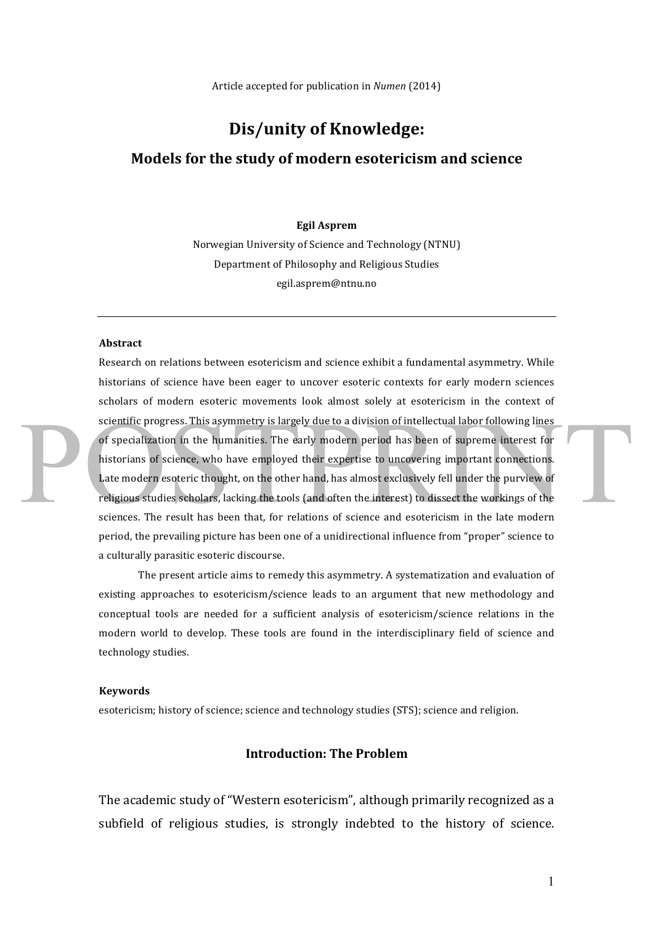# **Dis/unity of Knowledge:**

## **Models for the study of modern esotericism and science**

#### **Egil Asprem**

Norwegian University of Science and Technology (NTNU) Department of Philosophy and Religious Studies egil.asprem@ntnu.no

#### **Abstract**

Research on relations between esotericism and science exhibit a fundamental asymmetry. While historians of science have been eager to uncover esoteric contexts for early modern sciences scholars of modern esoteric movements look almost solely at esotericism in the context of scientific progress. This asymmetry is largely due to a division of intellectual labor following lines of specialization in the humanities. The early modern period has been of supreme interest for historians of science, who have employed their expertise to uncovering important connections. Late modern esoteric thought, on the other hand, has almost exclusively fell under the purview of religious studies scholars, lacking the tools (and often the interest) to dissect the workings of the sciences. The result has been that, for relations of science and esotericism in the late modern period, the prevailing picture has been one of a unidirectional influence from "proper" science to a culturally parasitic esoteric discourse.

The present article aims to remedy this asymmetry. A systematization and evaluation of existing approaches to esotericism/science leads to an argument that new methodology and conceptual tools are needed for a sufficient analysis of esotericism/science relations in the modern world to develop. These tools are found in the interdisciplinary field of science and technology studies.

#### **Keywords**

esotericism; history of science; science and technology studies (STS); science and religion.

# **Introduction: The Problem**

The academic study of "Western esotericism", although primarily recognized as a subfield of religious studies, is strongly indebted to the history of science.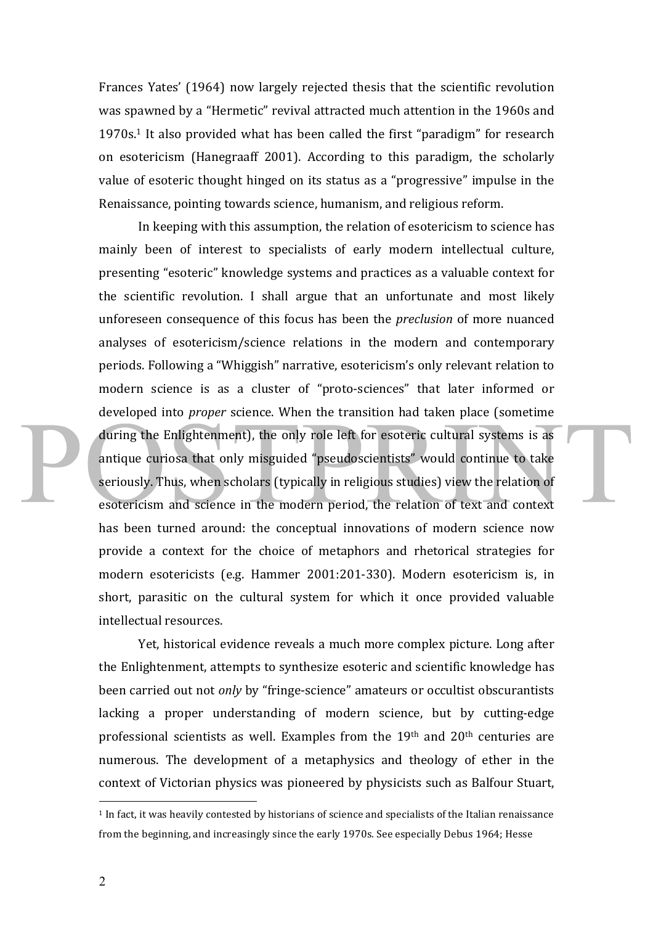Frances Yates' (1964) now largely rejected thesis that the scientific revolution was spawned by a "Hermetic" revival attracted much attention in the 1960s and  $1970s<sup>1</sup>$  It also provided what has been called the first "paradigm" for research on esotericism (Hanegraaff 2001). According to this paradigm, the scholarly value of esoteric thought hinged on its status as a "progressive" impulse in the Renaissance, pointing towards science, humanism, and religious reform.

In keeping with this assumption, the relation of esotericism to science has mainly been of interest to specialists of early modern intellectual culture, presenting "esoteric" knowledge systems and practices as a valuable context for the scientific revolution. I shall argue that an unfortunate and most likely unforeseen consequence of this focus has been the *preclusion* of more nuanced analyses of esotericism/science relations in the modern and contemporary periods. Following a "Whiggish" narrative, esotericism's only relevant relation to modern science is as a cluster of "proto-sciences" that later informed or developed into *proper* science. When the transition had taken place (sometime during the Enlightenment), the only role left for esoteric cultural systems is as antique curiosa that only misguided "pseudoscientists" would continue to take seriously. Thus, when scholars (typically in religious studies) view the relation of esotericism and science in the modern period, the relation of text and context has been turned around: the conceptual innovations of modern science now provide a context for the choice of metaphors and rhetorical strategies for modern esotericists (e.g. Hammer 2001:201-330). Modern esotericism is, in short, parasitic on the cultural system for which it once provided valuable intellectual resources.

Yet, historical evidence reveals a much more complex picture. Long after the Enlightenment, attempts to synthesize esoteric and scientific knowledge has been carried out not *only* by "fringe-science" amateurs or occultist obscurantists lacking a proper understanding of modern science, but by cutting-edge professional scientists as well. Examples from the  $19<sup>th</sup>$  and  $20<sup>th</sup>$  centuries are numerous. The development of a metaphysics and theology of ether in the context of Victorian physics was pioneered by physicists such as Balfour Stuart,

 $<sup>1</sup>$  In fact, it was heavily contested by historians of science and specialists of the Italian renaissance</sup> from the beginning, and increasingly since the early 1970s. See especially Debus 1964; Hesse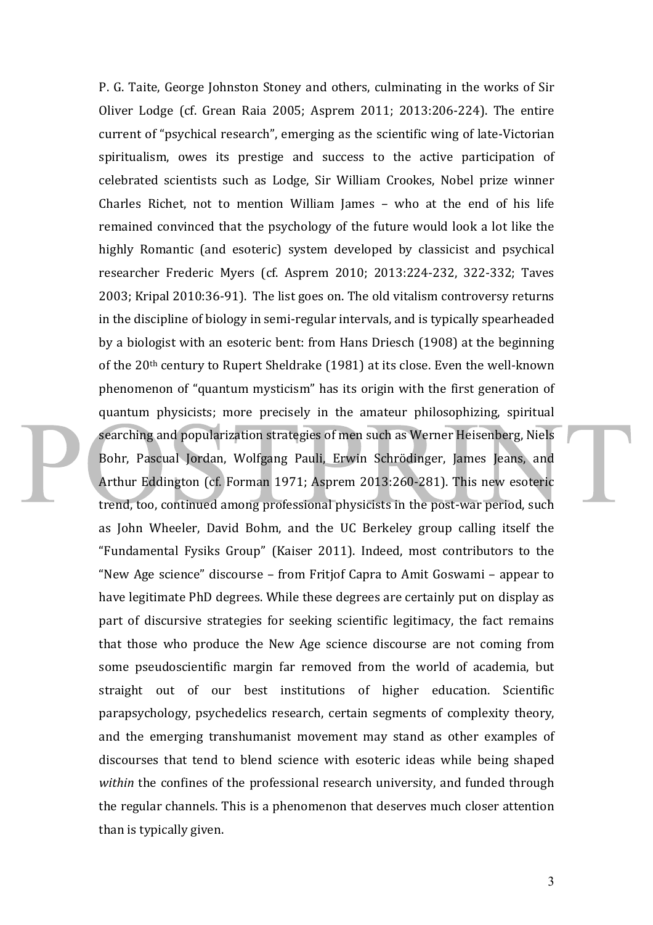P. G. Taite, George Johnston Stoney and others, culminating in the works of Sir Oliver Lodge (cf. Grean Raia 2005; Asprem 2011; 2013:206-224). The entire current of "psychical research", emerging as the scientific wing of late-Victorian spiritualism, owes its prestige and success to the active participation of celebrated scientists such as Lodge, Sir William Crookes, Nobel prize winner Charles Richet, not to mention William James – who at the end of his life remained convinced that the psychology of the future would look a lot like the highly Romantic (and esoteric) system developed by classicist and psychical researcher Frederic Myers (cf. Asprem 2010; 2013:224-232, 322-332; Taves 2003; Kripal 2010:36-91). The list goes on. The old vitalism controversy returns in the discipline of biology in semi-regular intervals, and is typically spearheaded by a biologist with an esoteric bent: from Hans Driesch (1908) at the beginning of the  $20<sup>th</sup>$  century to Rupert Sheldrake (1981) at its close. Even the well-known phenomenon of "quantum mysticism" has its origin with the first generation of quantum physicists; more precisely in the amateur philosophizing, spiritual searching and popularization strategies of men such as Werner Heisenberg, Niels Bohr, Pascual Jordan, Wolfgang Pauli, Erwin Schrödinger, James Jeans, and Arthur Eddington (cf. Forman 1971; Asprem 2013:260-281). This new esoteric trend, too, continued among professional physicists in the post-war period, such as John Wheeler, David Bohm, and the UC Berkeley group calling itself the "Fundamental Fysiks Group" (Kaiser 2011). Indeed, most contributors to the "New Age science" discourse  $-$  from Fritjof Capra to Amit Goswami  $-$  appear to have legitimate PhD degrees. While these degrees are certainly put on display as part of discursive strategies for seeking scientific legitimacy, the fact remains that those who produce the New Age science discourse are not coming from some pseudoscientific margin far removed from the world of academia, but straight out of our best institutions of higher education. Scientific parapsychology, psychedelics research, certain segments of complexity theory, and the emerging transhumanist movement may stand as other examples of discourses that tend to blend science with esoteric ideas while being shaped *within* the confines of the professional research university, and funded through the regular channels. This is a phenomenon that deserves much closer attention than is typically given.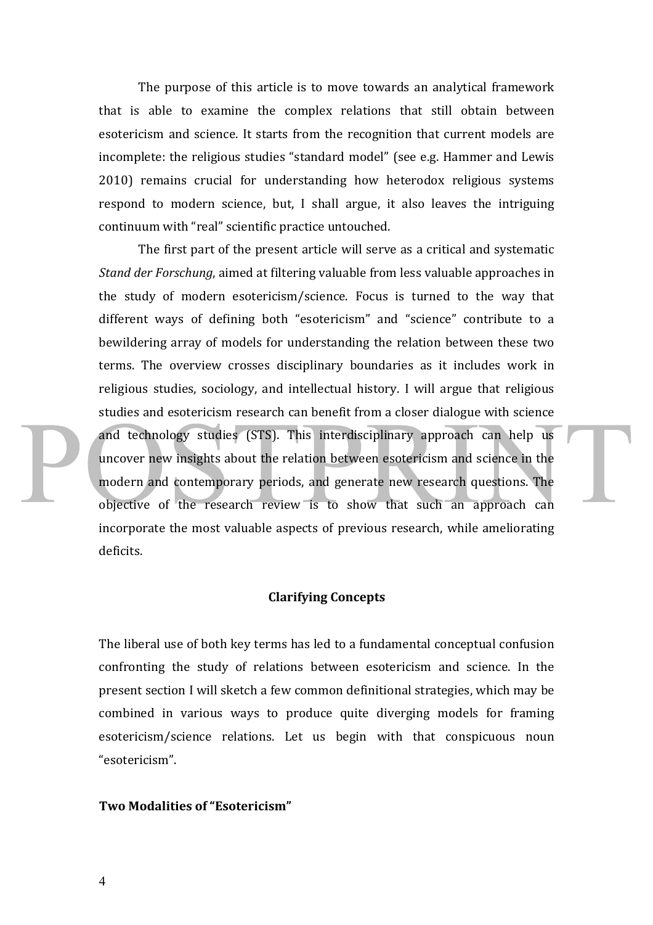The purpose of this article is to move towards an analytical framework that is able to examine the complex relations that still obtain between esotericism and science. It starts from the recognition that current models are incomplete: the religious studies "standard model" (see e.g. Hammer and Lewis 2010) remains crucial for understanding how heterodox religious systems respond to modern science, but, I shall argue, it also leaves the intriguing continuum with "real" scientific practice untouched.

The first part of the present article will serve as a critical and systematic *Stand der Forschung*, aimed at filtering valuable from less valuable approaches in the study of modern esotericism/science. Focus is turned to the way that different ways of defining both "esotericism" and "science" contribute to a bewildering array of models for understanding the relation between these two terms. The overview crosses disciplinary boundaries as it includes work in religious studies, sociology, and intellectual history. I will argue that religious studies and esotericism research can benefit from a closer dialogue with science and technology studies (STS). This interdisciplinary approach can help us uncover new insights about the relation between esotericism and science in the modern and contemporary periods, and generate new research questions. The objective of the research review is to show that such an approach can incorporate the most valuable aspects of previous research, while ameliorating deficits. 

### **Clarifying Concepts**

The liberal use of both key terms has led to a fundamental conceptual confusion confronting the study of relations between esotericism and science. In the present section I will sketch a few common definitional strategies, which may be combined in various ways to produce quite diverging models for framing esotericism/science relations. Let us begin with that conspicuous noun "esotericism".

#### **Two Modalities of "Esotericism"**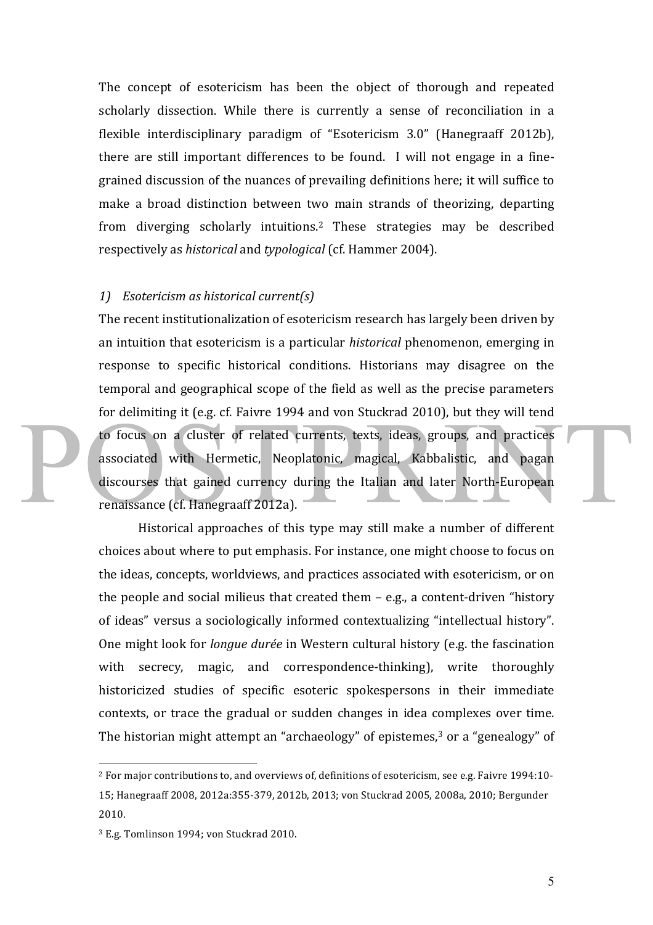The concept of esotericism has been the object of thorough and repeated scholarly dissection. While there is currently a sense of reconciliation in a flexible interdisciplinary paradigm of "Esotericism 3.0" (Hanegraaff 2012b), there are still important differences to be found. I will not engage in a finegrained discussion of the nuances of prevailing definitions here; it will suffice to make a broad distinction between two main strands of theorizing, departing from diverging scholarly intuitions.<sup>2</sup> These strategies may be described respectively as *historical* and *typological* (cf. Hammer 2004).

#### *1) Esotericism as historical current(s)*

The recent institutionalization of esotericism research has largely been driven by an intuition that esotericism is a particular *historical* phenomenon, emerging in response to specific historical conditions. Historians may disagree on the temporal and geographical scope of the field as well as the precise parameters for delimiting it (e.g. cf. Faivre 1994 and von Stuckrad 2010), but they will tend to focus on a cluster of related currents, texts, ideas, groups, and practices associated with Hermetic, Neoplatonic, magical, Kabbalistic, and pagan discourses that gained currency during the Italian and later North-European renaissance (cf. Hanegraaff 2012a).

Historical approaches of this type may still make a number of different choices about where to put emphasis. For instance, one might choose to focus on the ideas, concepts, worldviews, and practices associated with esotericism, or on the people and social milieus that created them  $-$  e.g., a content-driven "history of ideas" versus a sociologically informed contextualizing "intellectual history". One might look for *longue durée* in Western cultural history (e.g. the fascination with secrecy, magic, and correspondence-thinking), write thoroughly historicized studies of specific esoteric spokespersons in their immediate contexts, or trace the gradual or sudden changes in idea complexes over time. The historian might attempt an "archaeology" of epistemes,<sup>3</sup> or a "genealogy" of

<sup>&</sup>lt;sup>2</sup> For major contributions to, and overviews of, definitions of esotericism, see e.g. Faivre 1994:10-15; Hanegraaff 2008, 2012a:355-379, 2012b, 2013; von Stuckrad 2005, 2008a, 2010; Bergunder 2010. 

<sup>&</sup>lt;sup>3</sup> E.g. Tomlinson 1994; von Stuckrad 2010.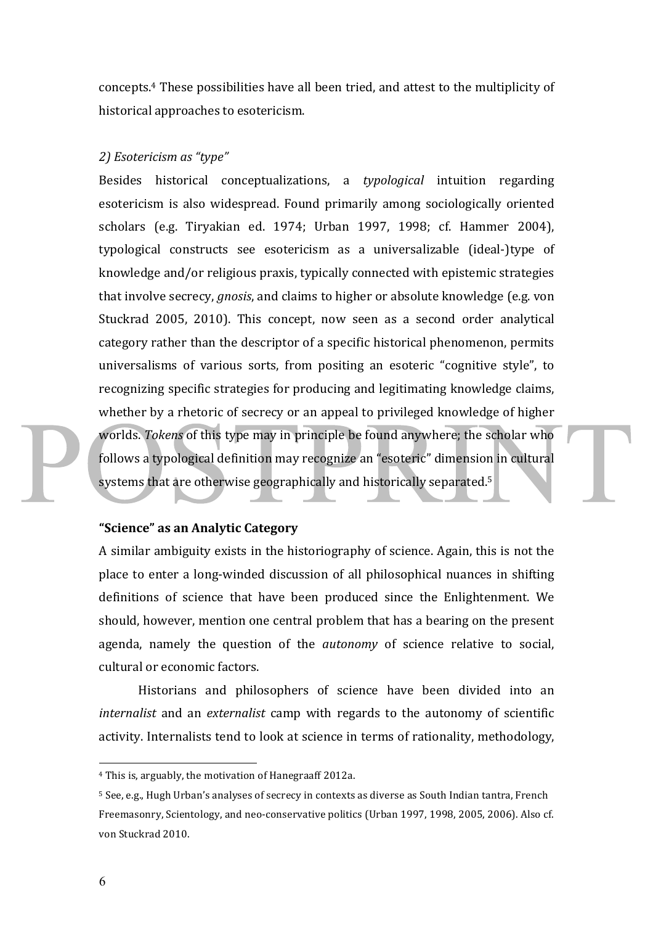concepts.<sup>4</sup> These possibilities have all been tried, and attest to the multiplicity of historical approaches to esotericism.

#### *2) Esotericism as "type"*

Besides historical conceptualizations, a *typological* intuition regarding esotericism is also widespread. Found primarily among sociologically oriented scholars (e.g. Tiryakian ed. 1974; Urban 1997, 1998; cf. Hammer 2004), typological constructs see esotericism as a universalizable (ideal-)type of knowledge and/or religious praxis, typically connected with epistemic strategies that involve secrecy, *gnosis*, and claims to higher or absolute knowledge (e.g. von Stuckrad 2005, 2010). This concept, now seen as a second order analytical category rather than the descriptor of a specific historical phenomenon, permits universalisms of various sorts, from positing an esoteric "cognitive style", to recognizing specific strategies for producing and legitimating knowledge claims, whether by a rhetoric of secrecy or an appeal to privileged knowledge of higher worlds. *Tokens* of this type may in principle be found anywhere; the scholar who follows a typological definition may recognize an "esoteric" dimension in cultural systems that are otherwise geographically and historically separated.<sup>5</sup>

### **"Science" as an Analytic Category**

A similar ambiguity exists in the historiography of science. Again, this is not the place to enter a long-winded discussion of all philosophical nuances in shifting definitions of science that have been produced since the Enlightenment. We should, however, mention one central problem that has a bearing on the present agenda, namely the question of the *autonomy* of science relative to social, cultural or economic factors.

Historians and philosophers of science have been divided into an *internalist* and an *externalist* camp with regards to the autonomy of scientific activity. Internalists tend to look at science in terms of rationality, methodology,

 $4$  This is, arguably, the motivation of Hanegraaff 2012a.

<sup>&</sup>lt;sup>5</sup> See, e.g., Hugh Urban's analyses of secrecy in contexts as diverse as South Indian tantra, French Freemasonry, Scientology, and neo-conservative politics (Urban 1997, 1998, 2005, 2006). Also cf. von Stuckrad 2010.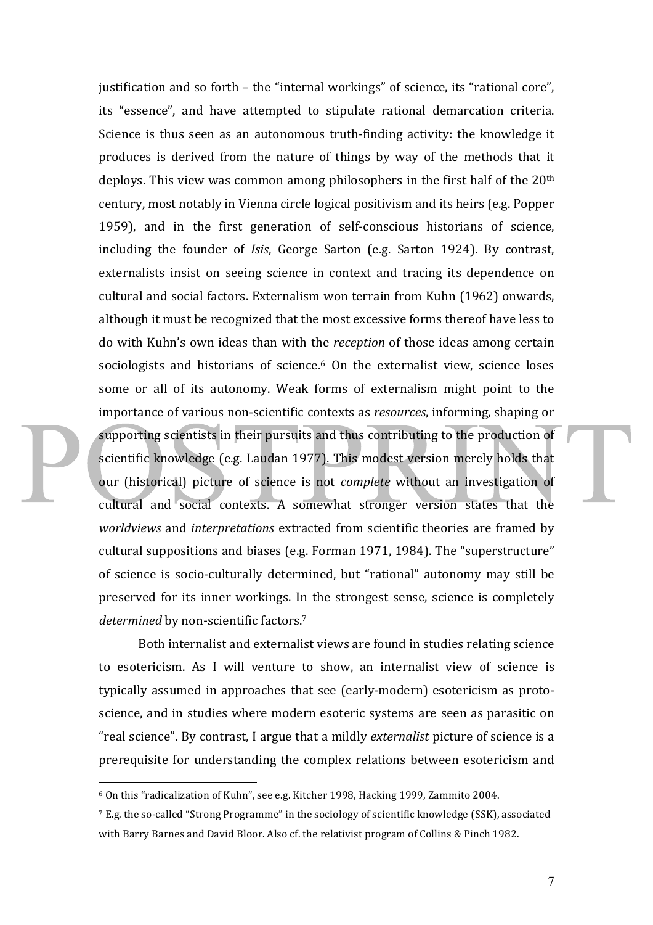justification and so forth – the "internal workings" of science, its "rational core", its "essence", and have attempted to stipulate rational demarcation criteria. Science is thus seen as an autonomous truth-finding activity: the knowledge it produces is derived from the nature of things by way of the methods that it deploys. This view was common among philosophers in the first half of the  $20<sup>th</sup>$ century, most notably in Vienna circle logical positivism and its heirs (e.g. Popper 1959), and in the first generation of self-conscious historians of science, including the founder of *Isis*, George Sarton (e.g. Sarton 1924). By contrast, externalists insist on seeing science in context and tracing its dependence on cultural and social factors. Externalism won terrain from Kuhn (1962) onwards, although it must be recognized that the most excessive forms thereof have less to do with Kuhn's own ideas than with the *reception* of those ideas among certain sociologists and historians of science.<sup>6</sup> On the externalist view, science loses some or all of its autonomy. Weak forms of externalism might point to the importance of various non-scientific contexts as *resources*, informing, shaping or supporting scientists in their pursuits and thus contributing to the production of scientific knowledge (e.g. Laudan 1977). This modest version merely holds that our (historical) picture of science is not *complete* without an investigation of cultural and social contexts. A somewhat stronger version states that the *worldviews* and *interpretations* extracted from scientific theories are framed by cultural suppositions and biases (e.g. Forman 1971, 1984). The "superstructure" of science is socio-culturally determined, but "rational" autonomy may still be preserved for its inner workings. In the strongest sense, science is completely *determined* by non-scientific factors.<sup>7</sup>

Both internalist and externalist views are found in studies relating science to esotericism. As I will venture to show, an internalist view of science is typically assumed in approaches that see (early-modern) esotericism as protoscience, and in studies where modern esoteric systems are seen as parasitic on "real science". By contrast, I argue that a mildly *externalist* picture of science is a prerequisite for understanding the complex relations between esotericism and

<sup>6</sup> On this "radicalization of Kuhn", see e.g. Kitcher 1998, Hacking 1999, Zammito 2004.

 $7$  E.g. the so-called "Strong Programme" in the sociology of scientific knowledge (SSK), associated with Barry Barnes and David Bloor. Also cf. the relativist program of Collins & Pinch 1982.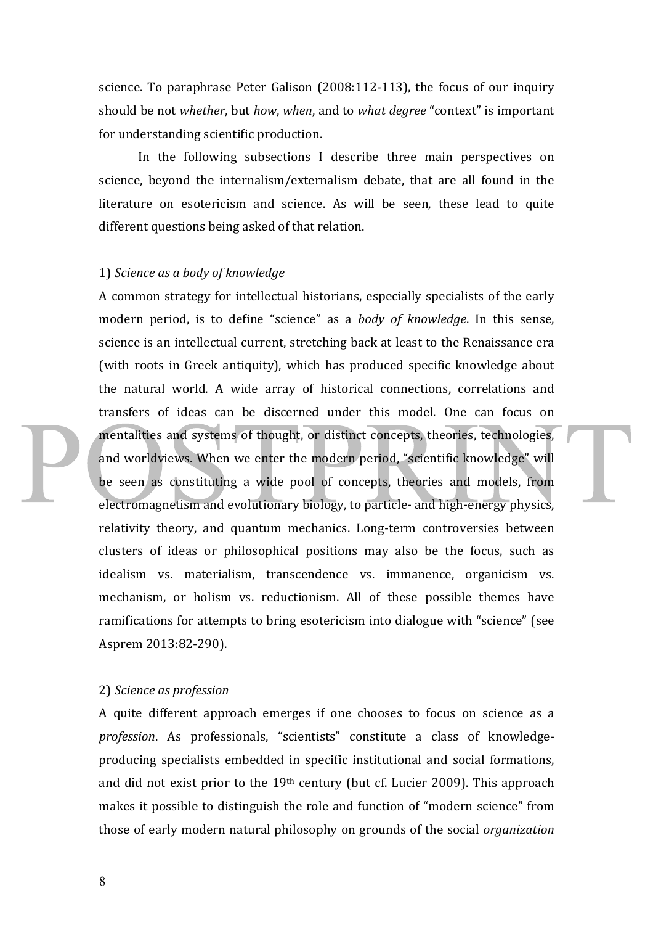science. To paraphrase Peter Galison  $(2008:112-113)$ , the focus of our inquiry should be not *whether*, but *how*, when, and to what *degree* "context" is important for understanding scientific production.

In the following subsections I describe three main perspectives on science, beyond the internalism/externalism debate, that are all found in the literature on esotericism and science. As will be seen, these lead to quite different questions being asked of that relation.

#### 1) *Science as a body of knowledge*

A common strategy for intellectual historians, especially specialists of the early modern period, is to define "science" as a *body* of knowledge. In this sense, science is an intellectual current, stretching back at least to the Renaissance era (with roots in Greek antiquity), which has produced specific knowledge about the natural world. A wide array of historical connections, correlations and transfers of ideas can be discerned under this model. One can focus on mentalities and systems of thought, or distinct concepts, theories, technologies, and worldviews. When we enter the modern period, "scientific knowledge" will be seen as constituting a wide pool of concepts, theories and models, from electromagnetism and evolutionary biology, to particle- and high-energy physics, relativity theory, and quantum mechanics. Long-term controversies between clusters of ideas or philosophical positions may also be the focus, such as idealism vs. materialism, transcendence vs. immanence, organicism vs. mechanism, or holism vs. reductionism. All of these possible themes have ramifications for attempts to bring esotericism into dialogue with "science" (see Asprem 2013:82-290).

#### 2) *Science as profession*

A quite different approach emerges if one chooses to focus on science as a profession. As professionals, "scientists" constitute a class of knowledgeproducing specialists embedded in specific institutional and social formations, and did not exist prior to the  $19<sup>th</sup>$  century (but cf. Lucier 2009). This approach makes it possible to distinguish the role and function of "modern science" from those of early modern natural philosophy on grounds of the social *organization*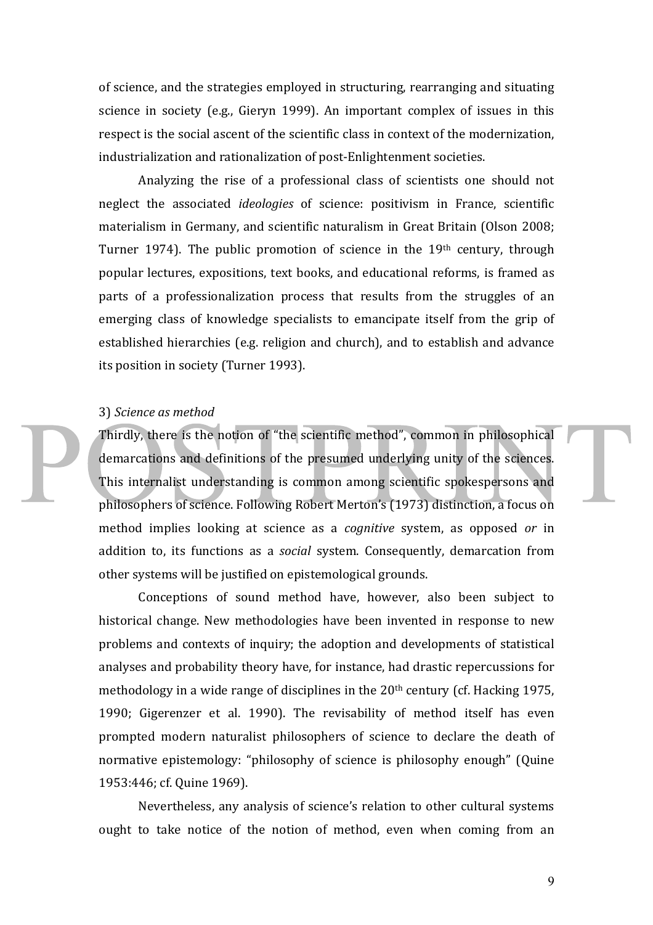of science, and the strategies employed in structuring, rearranging and situating science in society (e.g., Gieryn 1999). An important complex of issues in this respect is the social ascent of the scientific class in context of the modernization, industrialization and rationalization of post-Enlightenment societies.

Analyzing the rise of a professional class of scientists one should not neglect the associated *ideologies* of science: positivism in France, scientific materialism in Germany, and scientific naturalism in Great Britain (Olson 2008: Turner 1974). The public promotion of science in the  $19<sup>th</sup>$  century, through popular lectures, expositions, text books, and educational reforms, is framed as parts of a professionalization process that results from the struggles of an emerging class of knowledge specialists to emancipate itself from the grip of established hierarchies (e.g. religion and church), and to establish and advance its position in society (Turner 1993).

#### 3) *Science as method*

Thirdly, there is the notion of "the scientific method", common in philosophical demarcations and definitions of the presumed underlying unity of the sciences. This internalist understanding is common among scientific spokespersons and philosophers of science. Following Robert Merton's (1973) distinction, a focus on method implies looking at science as a *cognitive* system, as opposed *or* in addition to, its functions as a *social* system. Consequently, demarcation from other systems will be justified on epistemological grounds.

Conceptions of sound method have, however, also been subject to historical change. New methodologies have been invented in response to new problems and contexts of inquiry; the adoption and developments of statistical analyses and probability theory have, for instance, had drastic repercussions for methodology in a wide range of disciplines in the  $20<sup>th</sup>$  century (cf. Hacking 1975, 1990; Gigerenzer et al. 1990). The revisability of method itself has even prompted modern naturalist philosophers of science to declare the death of normative epistemology: "philosophy of science is philosophy enough" (Quine 1953:446; cf. Quine 1969).

Nevertheless, any analysis of science's relation to other cultural systems ought to take notice of the notion of method, even when coming from an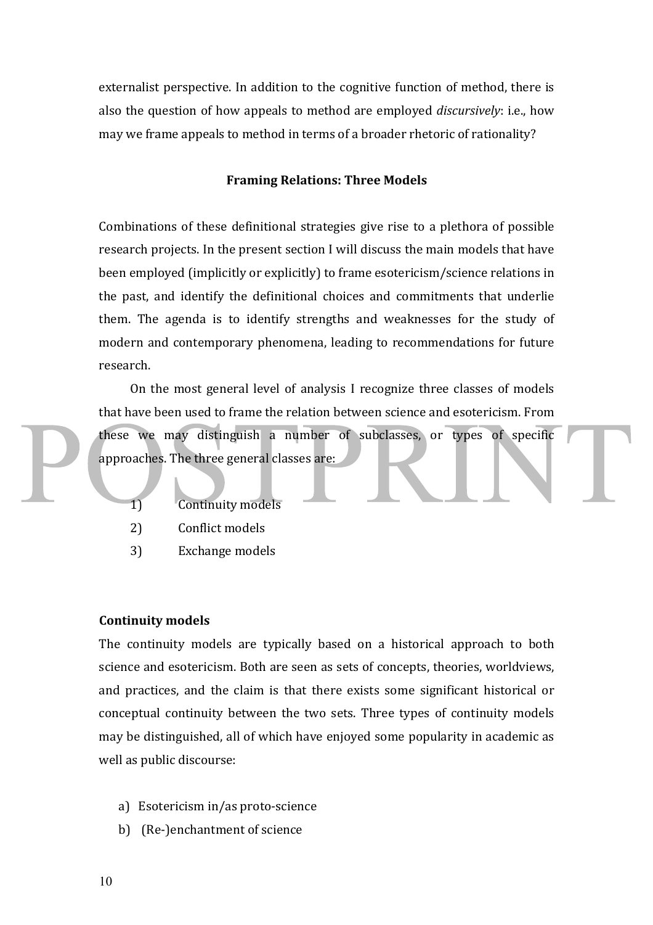externalist perspective. In addition to the cognitive function of method, there is also the question of how appeals to method are employed *discursively*: i.e., how may we frame appeals to method in terms of a broader rhetoric of rationality?

## **Framing Relations: Three Models**

Combinations of these definitional strategies give rise to a plethora of possible research projects. In the present section I will discuss the main models that have been employed (implicitly or explicitly) to frame esotericism/science relations in the past, and identify the definitional choices and commitments that underlie them. The agenda is to identify strengths and weaknesses for the study of modern and contemporary phenomena, leading to recommendations for future research.

On the most general level of analysis I recognize three classes of models that have been used to frame the relation between science and esotericism. From these we may distinguish a number of subclasses, or types of specific approaches. The three general classes are:

- 1) Continuity models
- 2) Conflict models
- 3) Exchange models

#### **Continuity models**

The continuity models are typically based on a historical approach to both science and esotericism. Both are seen as sets of concepts, theories, worldviews, and practices, and the claim is that there exists some significant historical or conceptual continuity between the two sets. Three types of continuity models may be distinguished, all of which have enjoyed some popularity in academic as well as public discourse:

- a) Esotericism in/as proto-science
- b) (Re-)enchantment of science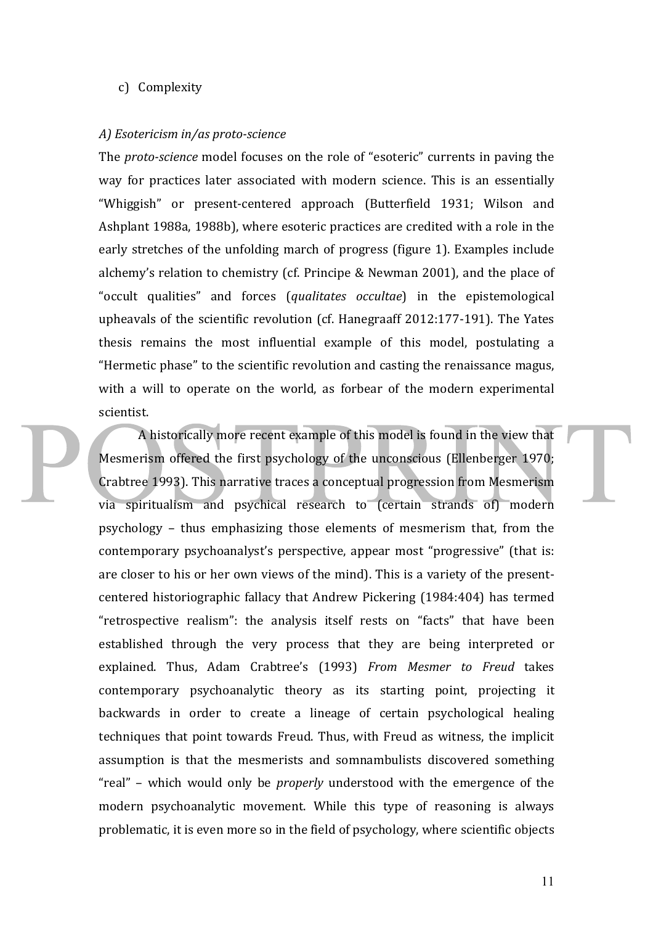#### c) Complexity

#### *A) Esotericism in/as proto-science*

The *proto-science* model focuses on the role of "esoteric" currents in paving the way for practices later associated with modern science. This is an essentially "Whiggish" or present-centered approach (Butterfield 1931; Wilson and Ashplant 1988a, 1988b), where esoteric practices are credited with a role in the early stretches of the unfolding march of progress (figure 1). Examples include alchemy's relation to chemistry (cf. Principe  $&$  Newman 2001), and the place of "occult qualities" and forces (*qualitates occultae*) in the epistemological upheavals of the scientific revolution (cf. Hanegraaff  $2012:177-191$ ). The Yates thesis remains the most influential example of this model, postulating a "Hermetic phase" to the scientific revolution and casting the renaissance magus, with a will to operate on the world, as forbear of the modern experimental scientist.

A historically more recent example of this model is found in the view that Mesmerism offered the first psychology of the unconscious (Ellenberger 1970; Crabtree 1993). This narrative traces a conceptual progression from Mesmerism via spiritualism and psychical research to (certain strands of) modern psychology – thus emphasizing those elements of mesmerism that, from the contemporary psychoanalyst's perspective, appear most "progressive" (that is: are closer to his or her own views of the mind). This is a variety of the presentcentered historiographic fallacy that Andrew Pickering (1984:404) has termed "retrospective realism": the analysis itself rests on "facts" that have been established through the very process that they are being interpreted or explained. Thus, Adam Crabtree's (1993) *From Mesmer to Freud* takes contemporary psychoanalytic theory as its starting point, projecting it backwards in order to create a lineage of certain psychological healing techniques that point towards Freud. Thus, with Freud as witness, the implicit assumption is that the mesmerists and somnambulists discovered something "real" – which would only be *properly* understood with the emergence of the modern psychoanalytic movement. While this type of reasoning is always problematic, it is even more so in the field of psychology, where scientific objects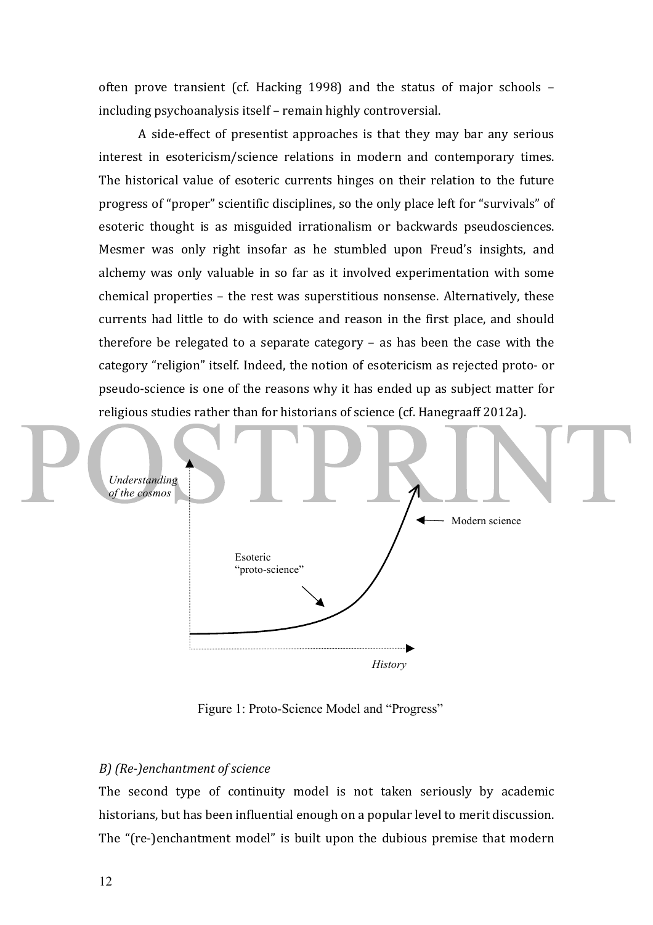often prove transient (cf. Hacking 1998) and the status of major schools  $$ including psychoanalysis itself – remain highly controversial.

A side-effect of presentist approaches is that they may bar any serious interest in esotericism/science relations in modern and contemporary times. The historical value of esoteric currents hinges on their relation to the future progress of "proper" scientific disciplines, so the only place left for "survivals" of esoteric thought is as misguided irrationalism or backwards pseudosciences. Mesmer was only right insofar as he stumbled upon Freud's insights, and alchemy was only valuable in so far as it involved experimentation with some  $chemical$  properties  $-$  the rest was superstitious nonsense. Alternatively, these currents had little to do with science and reason in the first place, and should therefore be relegated to a separate category  $-$  as has been the case with the category "religion" itself. Indeed, the notion of esotericism as rejected proto- or pseudo-science is one of the reasons why it has ended up as subject matter for religious studies rather than for historians of science (cf. Hanegraaff 2012a).



Figure 1: Proto-Science Model and "Progress"

## *B) (Re-)enchantment of science*

The second type of continuity model is not taken seriously by academic historians, but has been influential enough on a popular level to merit discussion. The "(re-)enchantment model" is built upon the dubious premise that modern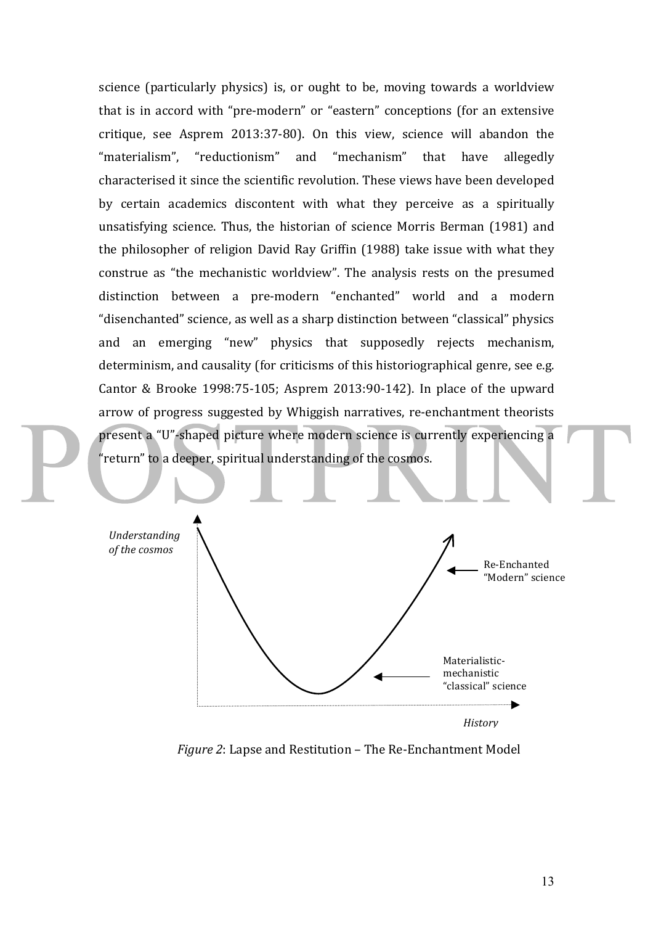science (particularly physics) is, or ought to be, moving towards a worldview that is in accord with "pre-modern" or "eastern" conceptions (for an extensive critique, see Asprem 2013:37-80). On this view, science will abandon the "materialism", "reductionism" and "mechanism" that have allegedly characterised it since the scientific revolution. These views have been developed by certain academics discontent with what they perceive as a spiritually unsatisfying science. Thus, the historian of science Morris Berman (1981) and the philosopher of religion David Ray Griffin (1988) take issue with what they construe as "the mechanistic worldview". The analysis rests on the presumed distinction between a pre-modern "enchanted" world and a modern "disenchanted" science, as well as a sharp distinction between "classical" physics and an emerging "new" physics that supposedly rejects mechanism, determinism, and causality (for criticisms of this historiographical genre, see e.g. Cantor & Brooke 1998:75-105; Asprem 2013:90-142). In place of the upward arrow of progress suggested by Whiggish narratives, re-enchantment theorists present a "U"-shaped picture where modern science is currently experiencing a "return" to a deeper, spiritual understanding of the cosmos.



*History*

*Figure 2*: Lapse and Restitution – The Re-Enchantment Model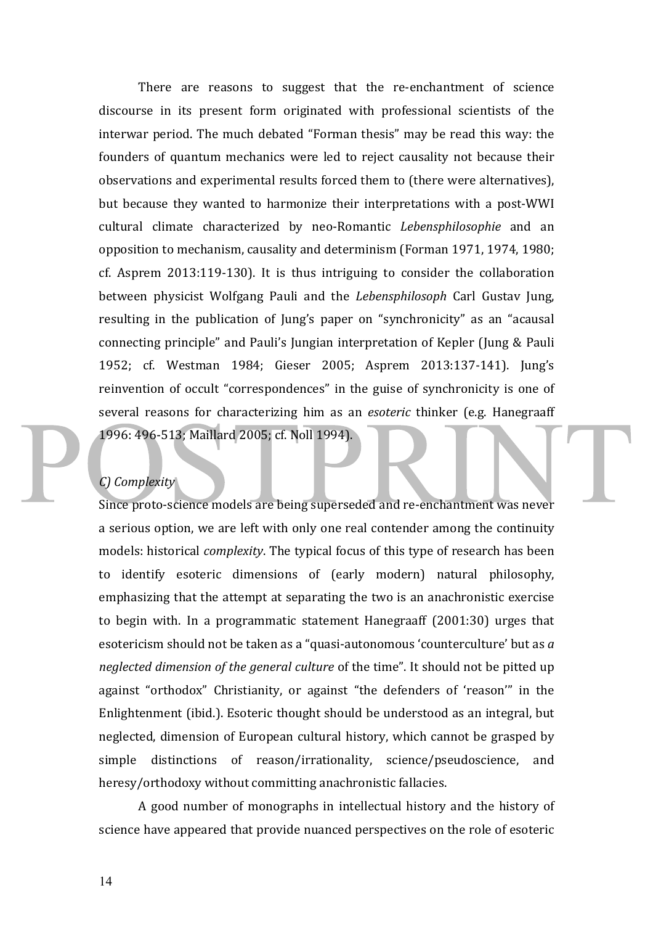There are reasons to suggest that the re-enchantment of science discourse in its present form originated with professional scientists of the interwar period. The much debated "Forman thesis" may be read this way: the founders of quantum mechanics were led to reject causality not because their observations and experimental results forced them to (there were alternatives), but because they wanted to harmonize their interpretations with a post-WWI cultural climate characterized by neo-Romantic *Lebensphilosophie*  and an opposition to mechanism, causality and determinism (Forman 1971, 1974, 1980;  $cf.$  Asprem 2013:119-130). It is thus intriguing to consider the collaboration between physicist Wolfgang Pauli and the *Lebensphilosoph* Carl Gustav Jung, resulting in the publication of Jung's paper on "synchronicity" as an "acausal connecting principle" and Pauli's Jungian interpretation of Kepler (Jung & Pauli 1952; cf. Westman 1984; Gieser 2005; Asprem 2013:137-141). Jung's reinvention of occult "correspondences" in the guise of synchronicity is one of several reasons for characterizing him as an *esoteric* thinker (e.g. Hanegraaff 1996: 496-513; Maillard 2005; cf. Noll 1994).

## *C) Complexity*

Since proto-science models are being superseded and re-enchantment was never a serious option, we are left with only one real contender among the continuity models: historical *complexity*. The typical focus of this type of research has been to identify esoteric dimensions of (early modern) natural philosophy, emphasizing that the attempt at separating the two is an anachronistic exercise to begin with. In a programmatic statement Hanegraaff (2001:30) urges that esotericism should not be taken as a "quasi-autonomous 'counterculture' but as a *neglected dimension of the general culture* of the time". It should not be pitted up against "orthodox" Christianity, or against "the defenders of 'reason'" in the Enlightenment (ibid.). Esoteric thought should be understood as an integral, but neglected, dimension of European cultural history, which cannot be grasped by simple distinctions of reason/irrationality, science/pseudoscience, and heresy/orthodoxy without committing anachronistic fallacies.

A good number of monographs in intellectual history and the history of science have appeared that provide nuanced perspectives on the role of esoteric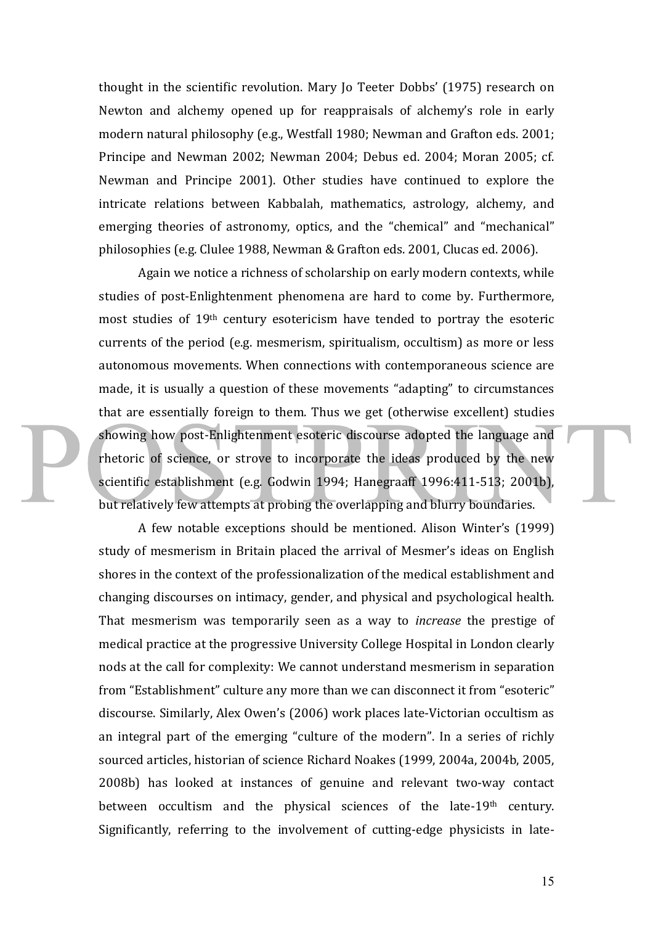thought in the scientific revolution. Mary Jo Teeter Dobbs' (1975) research on Newton and alchemy opened up for reappraisals of alchemy's role in early modern natural philosophy (e.g., Westfall 1980; Newman and Grafton eds. 2001; Principe and Newman 2002; Newman 2004; Debus ed. 2004; Moran 2005; cf. Newman and Principe 2001). Other studies have continued to explore the intricate relations between Kabbalah, mathematics, astrology, alchemy, and emerging theories of astronomy, optics, and the "chemical" and "mechanical" philosophies (e.g. Clulee 1988, Newman & Grafton eds. 2001, Clucas ed. 2006).

Again we notice a richness of scholarship on early modern contexts, while studies of post-Enlightenment phenomena are hard to come by. Furthermore, most studies of  $19<sup>th</sup>$  century esotericism have tended to portray the esoteric currents of the period (e.g. mesmerism, spiritualism, occultism) as more or less autonomous movements. When connections with contemporaneous science are made, it is usually a question of these movements "adapting" to circumstances that are essentially foreign to them. Thus we get (otherwise excellent) studies showing how post-Enlightenment esoteric discourse adopted the language and rhetoric of science, or strove to incorporate the ideas produced by the new scientific establishment (e.g. Godwin 1994; Hanegraaff 1996:411-513; 2001b), but relatively few attempts at probing the overlapping and blurry boundaries.

A few notable exceptions should be mentioned. Alison Winter's (1999) study of mesmerism in Britain placed the arrival of Mesmer's ideas on English shores in the context of the professionalization of the medical establishment and changing discourses on intimacy, gender, and physical and psychological health. That mesmerism was temporarily seen as a way to *increase* the prestige of medical practice at the progressive University College Hospital in London clearly nods at the call for complexity: We cannot understand mesmerism in separation from "Establishment" culture any more than we can disconnect it from "esoteric" discourse. Similarly, Alex Owen's (2006) work places late-Victorian occultism as an integral part of the emerging "culture of the modern". In a series of richly sourced articles, historian of science Richard Noakes (1999, 2004a, 2004b, 2005, 2008b) has looked at instances of genuine and relevant two-way contact between occultism and the physical sciences of the late-19th century. Significantly, referring to the involvement of cutting-edge physicists in late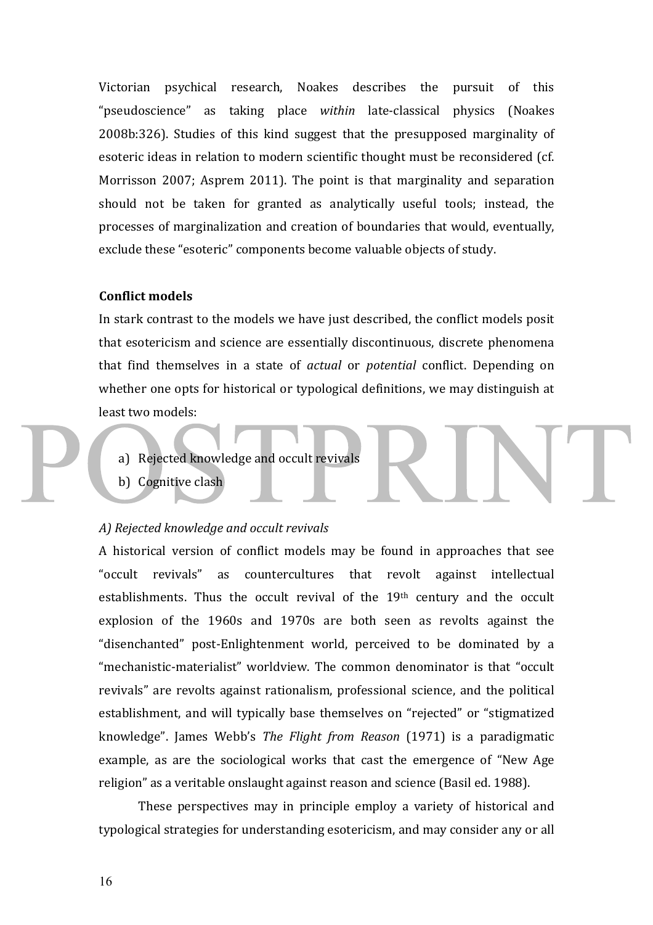Victorian psychical research, Noakes describes the pursuit of this "pseudoscience" as taking place within late-classical physics (Noakes 2008b:326). Studies of this kind suggest that the presupposed marginality of esoteric ideas in relation to modern scientific thought must be reconsidered (cf. Morrisson 2007; Asprem 2011). The point is that marginality and separation should not be taken for granted as analytically useful tools; instead, the processes of marginalization and creation of boundaries that would, eventually, exclude these "esoteric" components become valuable objects of study.

## **Conflict models**

In stark contrast to the models we have just described, the conflict models posit that esotericism and science are essentially discontinuous, discrete phenomena that find themselves in a state of *actual* or *potential* conflict. Depending on whether one opts for historical or typological definitions, we may distinguish at least two models:

- a) Rejected knowledge and occult revivals
- b) Cognitive clash

#### A) Rejected knowledge and occult revivals

A historical version of conflict models may be found in approaches that see "occult revivals" as countercultures that revolt against intellectual establishments. Thus the occult revival of the  $19<sup>th</sup>$  century and the occult explosion of the 1960s and 1970s are both seen as revolts against the "disenchanted" post-Enlightenment world, perceived to be dominated by a "mechanistic-materialist" worldview. The common denominator is that "occult revivals" are revolts against rationalism, professional science, and the political establishment, and will typically base themselves on "rejected" or "stigmatized knowledge". James Webb's *The Flight from Reason* (1971) is a paradigmatic example, as are the sociological works that cast the emergence of "New Age religion" as a veritable onslaught against reason and science (Basil ed. 1988).

These perspectives may in principle employ a variety of historical and typological strategies for understanding esotericism, and may consider any or all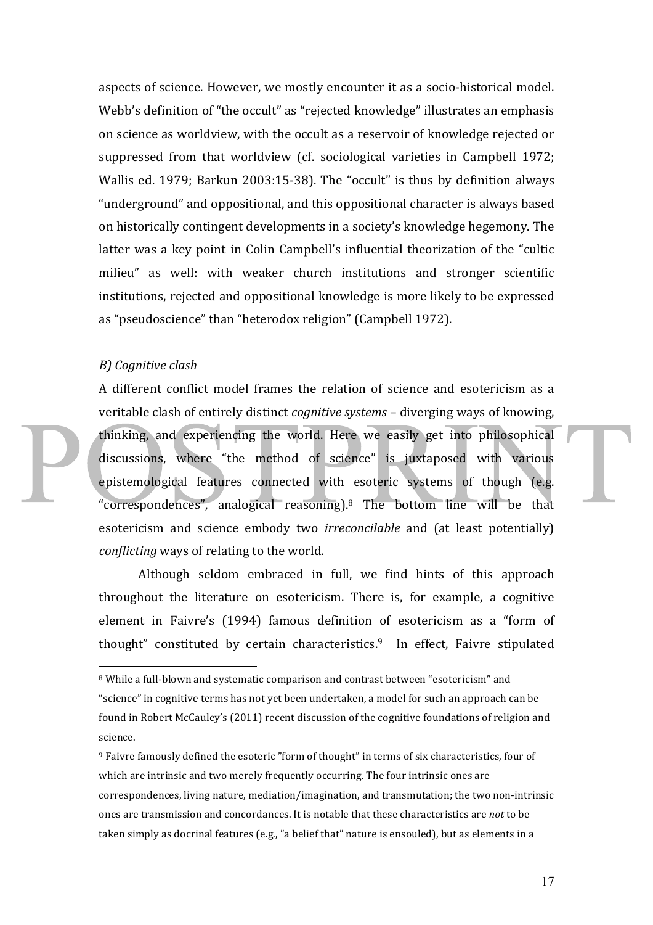aspects of science. However, we mostly encounter it as a socio-historical model. Webb's definition of "the occult" as "rejected knowledge" illustrates an emphasis on science as worldview, with the occult as a reservoir of knowledge rejected or suppressed from that worldview (cf. sociological varieties in Campbell 1972; Wallis ed. 1979; Barkun 2003:15-38). The "occult" is thus by definition always "underground" and oppositional, and this oppositional character is always based on historically contingent developments in a society's knowledge hegemony. The latter was a key point in Colin Campbell's influential theorization of the "cultic milieu" as well: with weaker church institutions and stronger scientific institutions, rejected and oppositional knowledge is more likely to be expressed as "pseudoscience" than "heterodox religion" (Campbell 1972).

#### *B) Cognitive clash*

 $\overline{a}$ 

A different conflict model frames the relation of science and esotericism as a veritable clash of entirely distinct *cognitive systems* – diverging ways of knowing, thinking, and experiencing the world. Here we easily get into philosophical discussions, where "the method of science" is juxtaposed with various epistemological features connected with esoteric systems of though (e.g. "correspondences", analogical reasoning).<sup>8</sup> The bottom line will be that esotericism and science embody two *irreconcilable* and (at least potentially) *conflicting* ways of relating to the world.

Although seldom embraced in full, we find hints of this approach throughout the literature on esotericism. There is, for example, a cognitive element in Faivre's (1994) famous definition of esotericism as a "form of thought" constituted by certain characteristics.<sup>9</sup> In effect, Faivre stipulated

<sup>&</sup>lt;sup>8</sup> While a full-blown and systematic comparison and contrast between "esotericism" and "science" in cognitive terms has not yet been undertaken, a model for such an approach can be found in Robert McCauley's (2011) recent discussion of the cognitive foundations of religion and science.

<sup>&</sup>lt;sup>9</sup> Faivre famously defined the esoteric "form of thought" in terms of six characteristics, four of which are intrinsic and two merely frequently occurring. The four intrinsic ones are correspondences, living nature, mediation/imagination, and transmutation; the two non-intrinsic ones are transmission and concordances. It is notable that these characteristics are *not* to be taken simply as docrinal features  $(e.g., 'a belief that' nature is encoded)$ , but as elements in a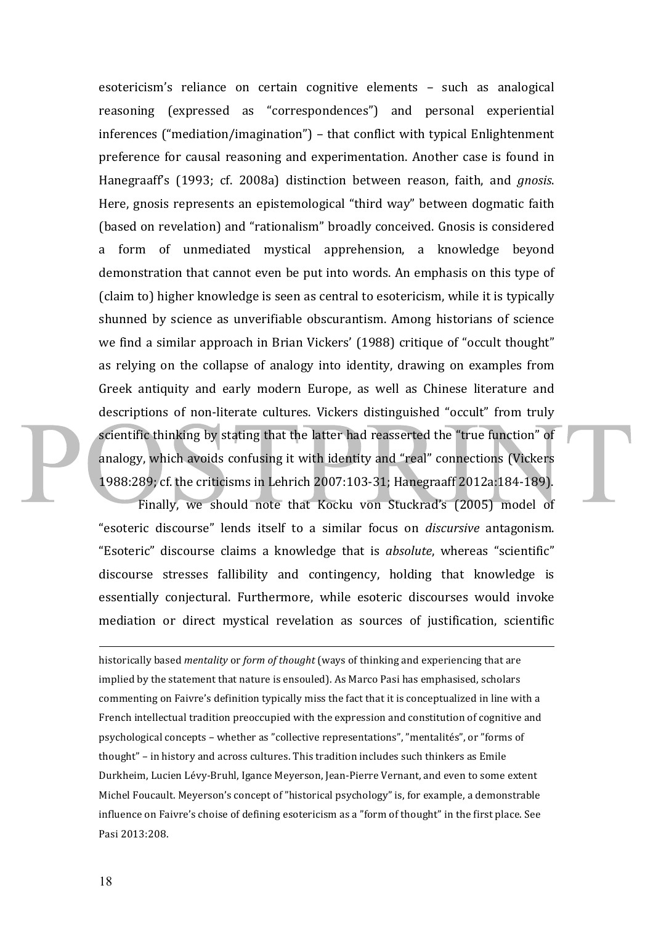esotericism's reliance on certain cognitive elements - such as analogical reasoning (expressed as "correspondences") and personal experiential  $inferences$  ("mediation/imagination") – that conflict with typical Enlightenment preference for causal reasoning and experimentation. Another case is found in Hanegraaff's (1993; cf. 2008a) distinction between reason, faith, and *gnosis*. Here, gnosis represents an epistemological "third way" between dogmatic faith (based on revelation) and "rationalism" broadly conceived. Gnosis is considered a form of unmediated mystical apprehension, a knowledge beyond demonstration that cannot even be put into words. An emphasis on this type of (claim to) higher knowledge is seen as central to esotericism, while it is typically shunned by science as unverifiable obscurantism. Among historians of science we find a similar approach in Brian Vickers' (1988) critique of "occult thought" as relying on the collapse of analogy into identity, drawing on examples from Greek antiquity and early modern Europe, as well as Chinese literature and descriptions of non-literate cultures. Vickers distinguished "occult" from truly scientific thinking by stating that the latter had reasserted the "true function" of analogy, which avoids confusing it with identity and "real" connections (Vickers 1988:289; cf. the criticisms in Lehrich 2007:103-31; Hanegraaff 2012a:184-189).

Finally, we should note that Kocku von Stuckrad's (2005) model of "esoteric discourse" lends itself to a similar focus on *discursive* antagonism. "Esoteric" discourse claims a knowledge that is *absolute*, whereas "scientific" discourse stresses fallibility and contingency, holding that knowledge is essentially conjectural. Furthermore, while esoteric discourses would invoke mediation or direct mystical revelation as sources of justification, scientific

historically based *mentality* or *form of thought* (ways of thinking and experiencing that are implied by the statement that nature is ensouled). As Marco Pasi has emphasised, scholars commenting on Faivre's definition typically miss the fact that it is conceptualized in line with a French intellectual tradition preoccupied with the expression and constitution of cognitive and psychological concepts - whether as "collective representations", "mentalités", or "forms of thought" - in history and across cultures. This tradition includes such thinkers as Emile Durkheim, Lucien Lévy-Bruhl, Igance Meyerson, Jean-Pierre Vernant, and even to some extent Michel Foucault. Meyerson's concept of "historical psychology" is, for example, a demonstrable influence on Faivre's choise of defining esotericism as a "form of thought" in the first place. See Pasi 2013:208.

1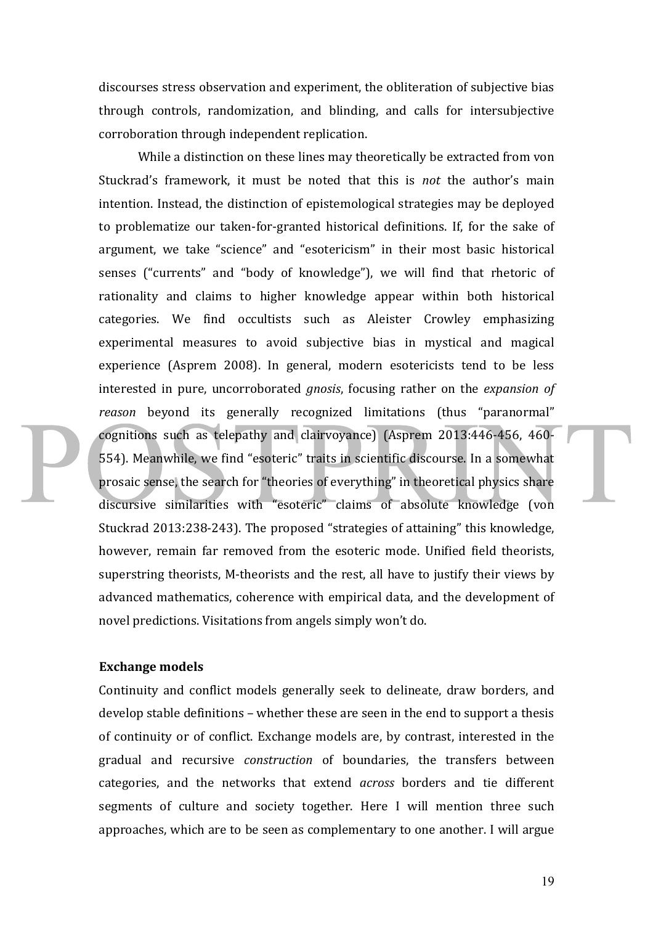discourses stress observation and experiment, the obliteration of subjective bias through controls, randomization, and blinding, and calls for intersubjective corroboration through independent replication.

While a distinction on these lines may theoretically be extracted from von Stuckrad's framework, it must be noted that this is *not* the author's main intention. Instead, the distinction of epistemological strategies may be deployed to problematize our taken-for-granted historical definitions. If, for the sake of argument, we take "science" and "esotericism" in their most basic historical senses ("currents" and "body of knowledge"), we will find that rhetoric of rationality and claims to higher knowledge appear within both historical categories. We find occultists such as Aleister Crowley emphasizing experimental measures to avoid subjective bias in mystical and magical experience (Asprem 2008). In general, modern esotericists tend to be less interested in pure, uncorroborated *gnosis*, focusing rather on the *expansion* of reason beyond its generally recognized limitations (thus "paranormal" cognitions such as telepathy and clairvoyance) (Asprem 2013:446-456, 460-554). Meanwhile, we find "esoteric" traits in scientific discourse. In a somewhat prosaic sense, the search for "theories of everything" in theoretical physics share discursive similarities with "esoteric" claims of absolute knowledge (von Stuckrad 2013:238-243). The proposed "strategies of attaining" this knowledge, however, remain far removed from the esoteric mode. Unified field theorists, superstring theorists, M-theorists and the rest, all have to justify their views by advanced mathematics, coherence with empirical data, and the development of novel predictions. Visitations from angels simply won't do.

# **Exchange models**

Continuity and conflict models generally seek to delineate, draw borders, and develop stable definitions – whether these are seen in the end to support a thesis of continuity or of conflict. Exchange models are, by contrast, interested in the gradual and recursive *construction* of boundaries, the transfers between categories, and the networks that extend *across* borders and tie different segments of culture and society together. Here I will mention three such approaches, which are to be seen as complementary to one another. I will argue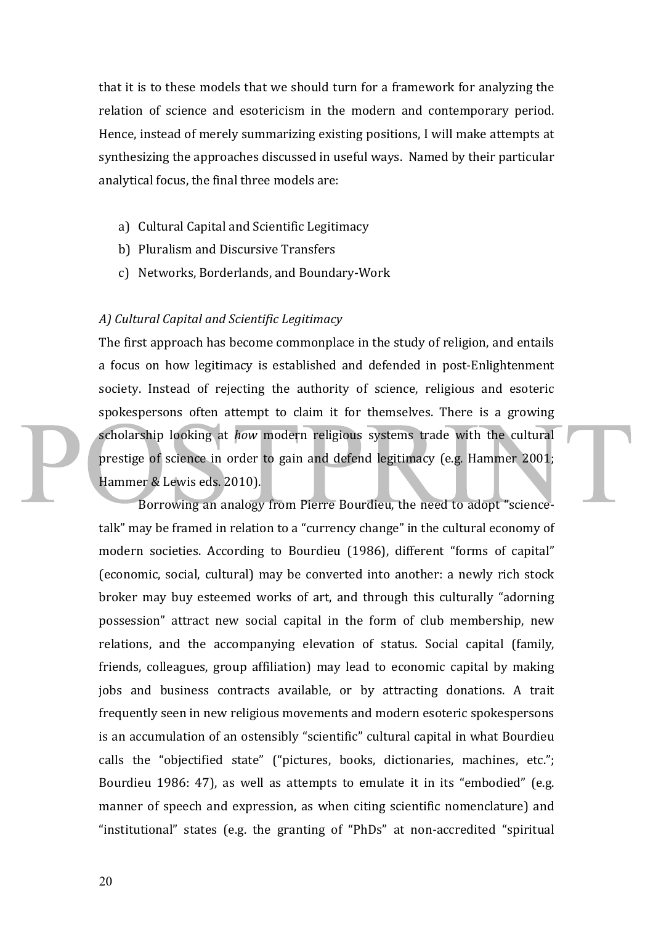that it is to these models that we should turn for a framework for analyzing the relation of science and esotericism in the modern and contemporary period. Hence, instead of merely summarizing existing positions, I will make attempts at synthesizing the approaches discussed in useful ways. Named by their particular analytical focus, the final three models are:

- a) Cultural Capital and Scientific Legitimacy
- b) Pluralism and Discursive Transfers
- c) Networks, Borderlands, and Boundary-Work

## *A) Cultural Capital and Scientific Legitimacy*

The first approach has become commonplace in the study of religion, and entails a focus on how legitimacy is established and defended in post-Enlightenment society. Instead of rejecting the authority of science, religious and esoteric spokespersons often attempt to claim it for themselves. There is a growing scholarship looking at *how* modern religious systems trade with the cultural prestige of science in order to gain and defend legitimacy (e.g. Hammer 2001; Hammer & Lewis eds. 2010).

Borrowing an analogy from Pierre Bourdieu, the need to adopt "sciencetalk" may be framed in relation to a "currency change" in the cultural economy of modern societies. According to Bourdieu (1986), different "forms of capital" (economic, social, cultural) may be converted into another: a newly rich stock broker may buy esteemed works of art, and through this culturally "adorning possession" attract new social capital in the form of club membership, new relations, and the accompanying elevation of status. Social capital (family, friends, colleagues, group affiliation) may lead to economic capital by making jobs and business contracts available, or by attracting donations. A trait frequently seen in new religious movements and modern esoteric spokespersons is an accumulation of an ostensibly "scientific" cultural capital in what Bourdieu calls the "objectified state" ("pictures, books, dictionaries, machines, etc."; Bourdieu 1986: 47), as well as attempts to emulate it in its "embodied" (e.g. manner of speech and expression, as when citing scientific nomenclature) and "institutional" states (e.g. the granting of "PhDs" at non-accredited "spiritual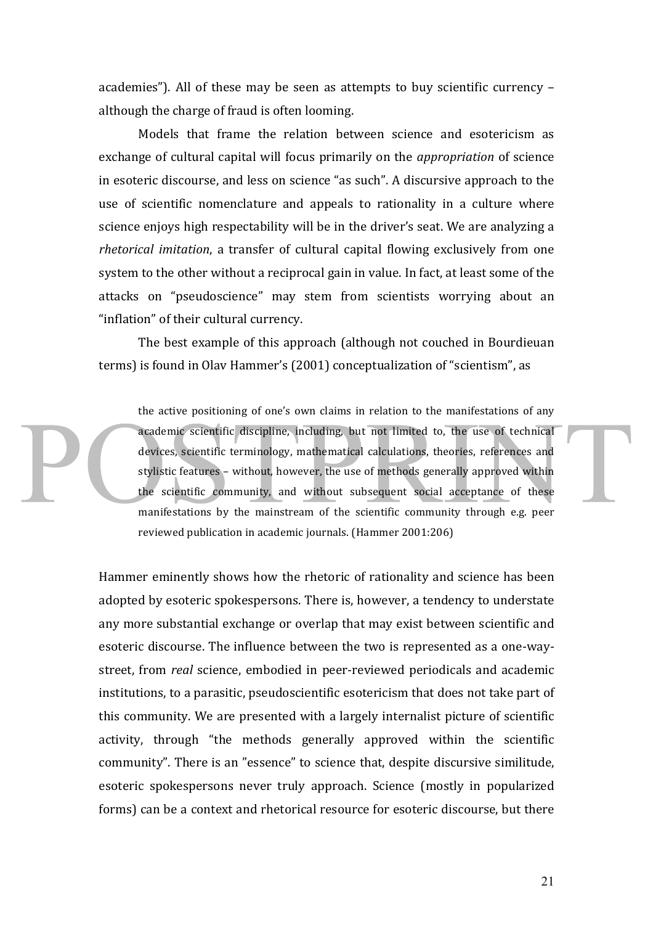academies"). All of these may be seen as attempts to buy scientific currency  $$ although the charge of fraud is often looming.

Models that frame the relation between science and esotericism as exchange of cultural capital will focus primarily on the *appropriation* of science in esoteric discourse, and less on science "as such". A discursive approach to the use of scientific nomenclature and appeals to rationality in a culture where science enjoys high respectability will be in the driver's seat. We are analyzing a *rhetorical imitation*, a transfer of cultural capital flowing exclusively from one system to the other without a reciprocal gain in value. In fact, at least some of the attacks on "pseudoscience" may stem from scientists worrying about an "inflation" of their cultural currency.

The best example of this approach (although not couched in Bourdieuan terms) is found in Olav Hammer's (2001) conceptualization of "scientism", as

the active positioning of one's own claims in relation to the manifestations of any academic scientific discipline, including, but not limited to, the use of technical devices, scientific terminology, mathematical calculations, theories, references and stylistic features – without, however, the use of methods generally approved within the scientific community, and without subsequent social acceptance of these manifestations by the mainstream of the scientific community through e.g. peer reviewed publication in academic journals. (Hammer 2001:206)

Hammer eminently shows how the rhetoric of rationality and science has been adopted by esoteric spokespersons. There is, however, a tendency to understate any more substantial exchange or overlap that may exist between scientific and esoteric discourse. The influence between the two is represented as a one-waystreet, from *real* science, embodied in peer-reviewed periodicals and academic institutions, to a parasitic, pseudoscientific esotericism that does not take part of this community. We are presented with a largely internalist picture of scientific activity, through "the methods generally approved within the scientific community". There is an "essence" to science that, despite discursive similitude, esoteric spokespersons never truly approach. Science (mostly in popularized forms) can be a context and rhetorical resource for esoteric discourse, but there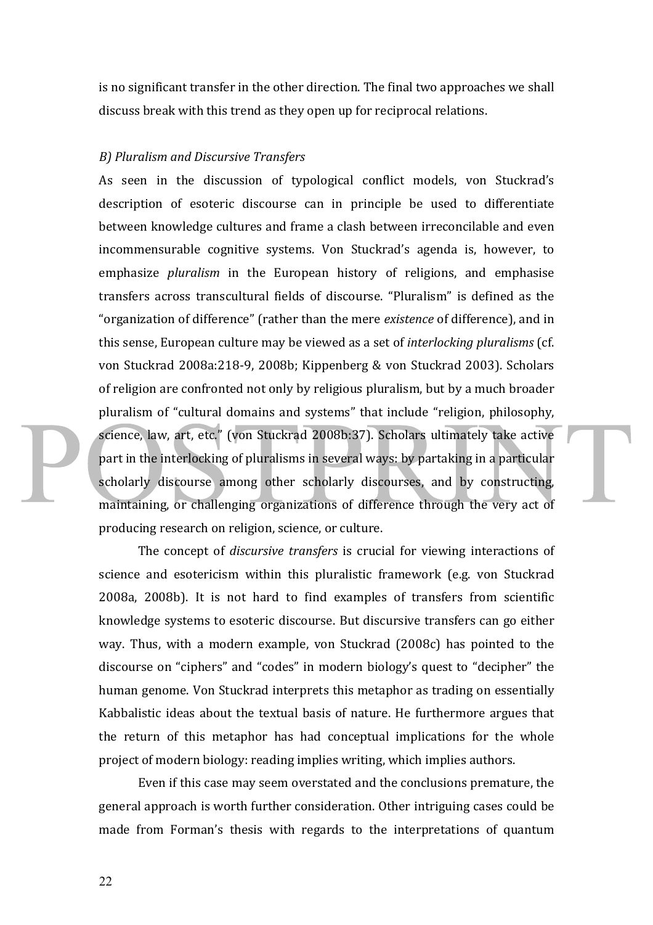is no significant transfer in the other direction. The final two approaches we shall discuss break with this trend as they open up for reciprocal relations.

#### *B) Pluralism and Discursive Transfers*

As seen in the discussion of typological conflict models, von Stuckrad's description of esoteric discourse can in principle be used to differentiate between knowledge cultures and frame a clash between irreconcilable and even incommensurable cognitive systems. Von Stuckrad's agenda is, however, to emphasize *pluralism* in the European history of religions, and emphasise transfers across transcultural fields of discourse. "Pluralism" is defined as the "organization of difference" (rather than the mere *existence* of difference), and in this sense, European culture may be viewed as a set of *interlocking pluralisms* (cf. von Stuckrad 2008a:218-9, 2008b; Kippenberg & von Stuckrad 2003). Scholars of religion are confronted not only by religious pluralism, but by a much broader pluralism of "cultural domains and systems" that include "religion, philosophy, science, law, art, etc." (von Stuckrad 2008b:37). Scholars ultimately take active part in the interlocking of pluralisms in several ways: by partaking in a particular scholarly discourse among other scholarly discourses, and by constructing, maintaining, or challenging organizations of difference through the very act of producing research on religion, science, or culture.

The concept of *discursive transfers* is crucial for viewing interactions of science and esotericism within this pluralistic framework (e.g. von Stuckrad 2008a, 2008b). It is not hard to find examples of transfers from scientific knowledge systems to esoteric discourse. But discursive transfers can go either way. Thus, with a modern example, von Stuckrad (2008c) has pointed to the discourse on "ciphers" and "codes" in modern biology's quest to "decipher" the human genome. Von Stuckrad interprets this metaphor as trading on essentially Kabbalistic ideas about the textual basis of nature. He furthermore argues that the return of this metaphor has had conceptual implications for the whole project of modern biology: reading implies writing, which implies authors.

Even if this case may seem overstated and the conclusions premature, the general approach is worth further consideration. Other intriguing cases could be made from Forman's thesis with regards to the interpretations of quantum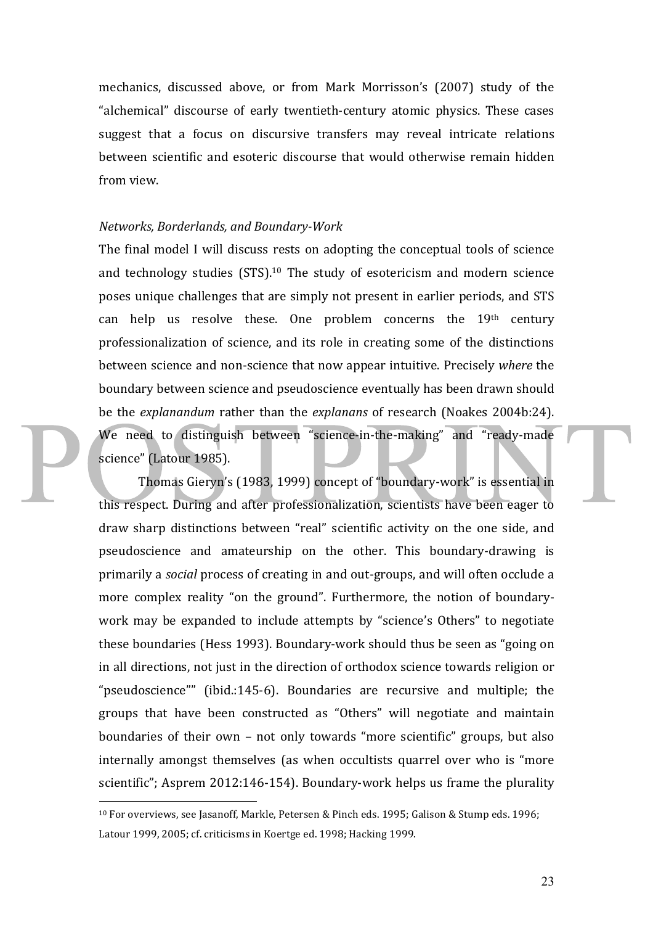mechanics, discussed above, or from Mark Morrisson's (2007) study of the "alchemical" discourse of early twentieth-century atomic physics. These cases suggest that a focus on discursive transfers may reveal intricate relations between scientific and esoteric discourse that would otherwise remain hidden from view.

# *Networks, Borderlands, and Boundary-Work*

The final model I will discuss rests on adopting the conceptual tools of science and technology studies  $(STS)$ .<sup>10</sup> The study of esotericism and modern science poses unique challenges that are simply not present in earlier periods, and STS can help us resolve these. One problem concerns the  $19<sup>th</sup>$  century professionalization of science, and its role in creating some of the distinctions between science and non-science that now appear intuitive. Precisely *where* the boundary between science and pseudoscience eventually has been drawn should be the *explanandum* rather than the *explanans* of research (Noakes 2004b:24). We need to distinguish between "science-in-the-making" and "ready-made science" (Latour 1985).

Thomas Gieryn's (1983, 1999) concept of "boundary-work" is essential in this respect. During and after professionalization, scientists have been eager to draw sharp distinctions between "real" scientific activity on the one side, and pseudoscience and amateurship on the other. This boundary-drawing is primarily a *social* process of creating in and out-groups, and will often occlude a more complex reality "on the ground". Furthermore, the notion of boundarywork may be expanded to include attempts by "science's Others" to negotiate these boundaries (Hess 1993). Boundary-work should thus be seen as "going on in all directions, not just in the direction of orthodox science towards religion or "pseudoscience"" (ibid.:145-6). Boundaries are recursive and multiple; the groups that have been constructed as "Others" will negotiate and maintain boundaries of their own – not only towards "more scientific" groups, but also internally amongst themselves (as when occultists quarrel over who is "more scientific"; Asprem 2012:146-154). Boundary-work helps us frame the plurality

 $10$  For overviews, see Jasanoff, Markle, Petersen & Pinch eds. 1995; Galison & Stump eds. 1996; Latour 1999, 2005; cf. criticisms in Koertge ed. 1998; Hacking 1999.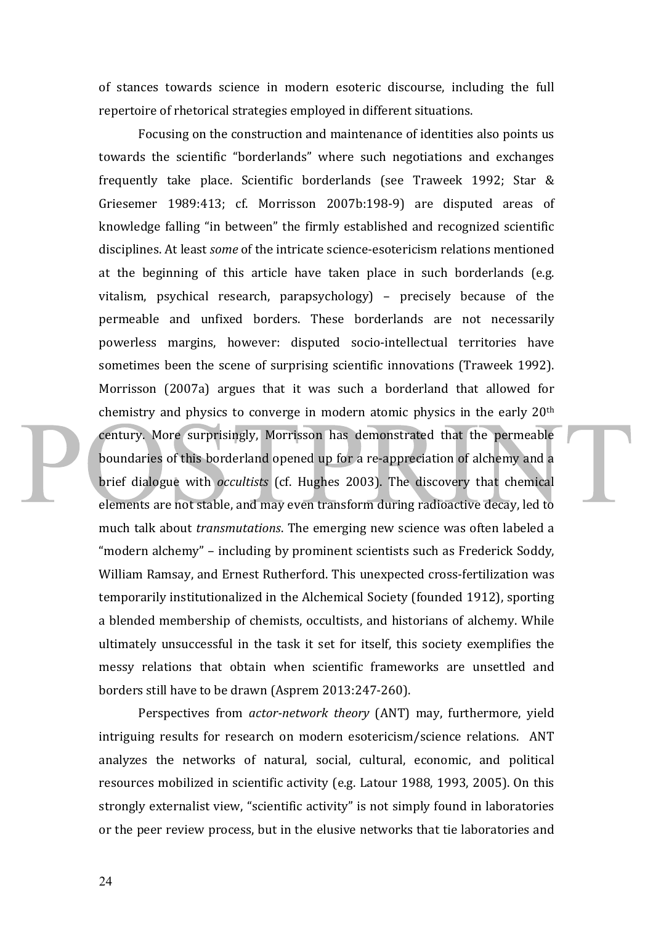of stances towards science in modern esoteric discourse, including the full repertoire of rhetorical strategies employed in different situations.

Focusing on the construction and maintenance of identities also points us towards the scientific "borderlands" where such negotiations and exchanges frequently take place. Scientific borderlands (see Traweek 1992; Star & Griesemer 1989:413; cf. Morrisson 2007b:198-9) are disputed areas of knowledge falling "in between" the firmly established and recognized scientific disciplines. At least *some* of the intricate science-esotericism relations mentioned at the beginning of this article have taken place in such borderlands (e.g. vitalism, psychical research, parapsychology) – precisely because of the permeable and unfixed borders. These borderlands are not necessarily powerless margins, however: disputed socio-intellectual territories have sometimes been the scene of surprising scientific innovations (Traweek 1992). Morrisson (2007a) argues that it was such a borderland that allowed for chemistry and physics to converge in modern atomic physics in the early  $20<sup>th</sup>$ century. More surprisingly, Morrisson has demonstrated that the permeable boundaries of this borderland opened up for a re-appreciation of alchemy and a brief dialogue with *occultists* (cf. Hughes 2003). The discovery that chemical elements are not stable, and may even transform during radioactive decay, led to much talk about *transmutations*. The emerging new science was often labeled a "modern alchemy" – including by prominent scientists such as Frederick Soddy, William Ramsay, and Ernest Rutherford. This unexpected cross-fertilization was temporarily institutionalized in the Alchemical Society (founded 1912), sporting a blended membership of chemists, occultists, and historians of alchemy. While ultimately unsuccessful in the task it set for itself, this society exemplifies the messy relations that obtain when scientific frameworks are unsettled and borders still have to be drawn (Asprem 2013:247-260).

Perspectives from *actor-network theory* (ANT) may, furthermore, yield intriguing results for research on modern esotericism/science relations. ANT analyzes the networks of natural, social, cultural, economic, and political resources mobilized in scientific activity (e.g. Latour 1988, 1993, 2005). On this strongly externalist view, "scientific activity" is not simply found in laboratories or the peer review process, but in the elusive networks that tie laboratories and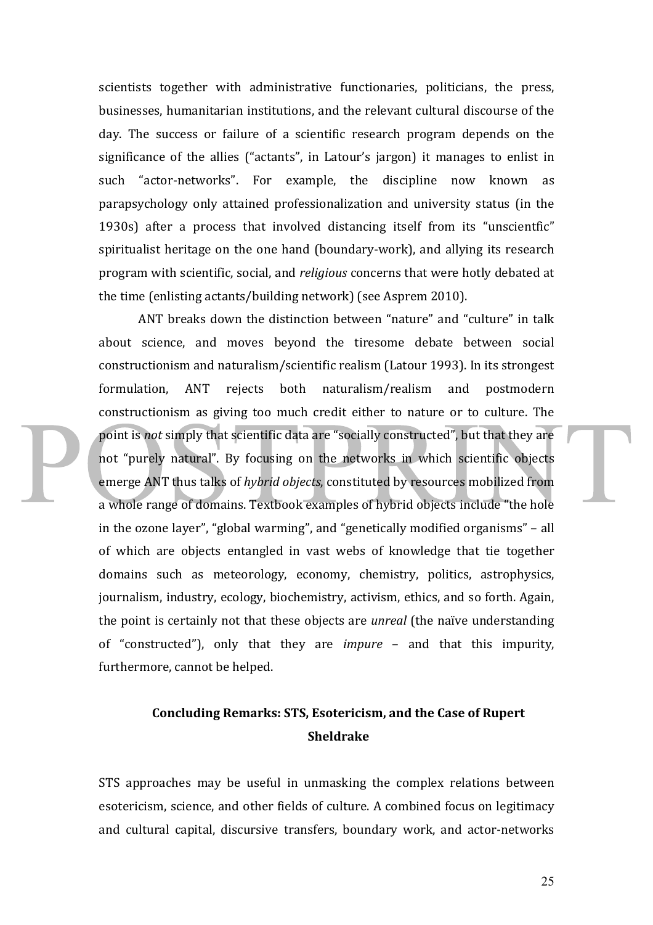scientists together with administrative functionaries, politicians, the press, businesses, humanitarian institutions, and the relevant cultural discourse of the day. The success or failure of a scientific research program depends on the significance of the allies ("actants", in Latour's jargon) it manages to enlist in such "actor-networks". For example, the discipline now known as parapsychology only attained professionalization and university status (in the 1930s) after a process that involved distancing itself from its "unscientfic" spiritualist heritage on the one hand (boundary-work), and allying its research program with scientific, social, and *religious* concerns that were hotly debated at the time (enlisting actants/building network) (see Asprem 2010).

ANT breaks down the distinction between "nature" and "culture" in talk about science, and moves beyond the tiresome debate between social constructionism and naturalism/scientific realism (Latour 1993). In its strongest formulation, ANT rejects both naturalism/realism and postmodern constructionism as giving too much credit either to nature or to culture. The point is *not* simply that scientific data are "socially constructed", but that they are not "purely natural". By focusing on the networks in which scientific objects emerge ANT thus talks of *hybrid objects*, constituted by resources mobilized from a whole range of domains. Textbook examples of hybrid objects include "the hole in the ozone layer", "global warming", and "genetically modified organisms" – all of which are objects entangled in vast webs of knowledge that tie together domains such as meteorology, economy, chemistry, politics, astrophysics, journalism, industry, ecology, biochemistry, activism, ethics, and so forth. Again, the point is certainly not that these objects are *unreal* (the naïve understanding of "constructed"), only that they are *impure* – and that this impurity, furthermore, cannot be helped.

# Concluding Remarks: STS, Esotericism, and the Case of Rupert **Sheldrake**

STS approaches may be useful in unmasking the complex relations between esotericism, science, and other fields of culture. A combined focus on legitimacy and cultural capital, discursive transfers, boundary work, and actor-networks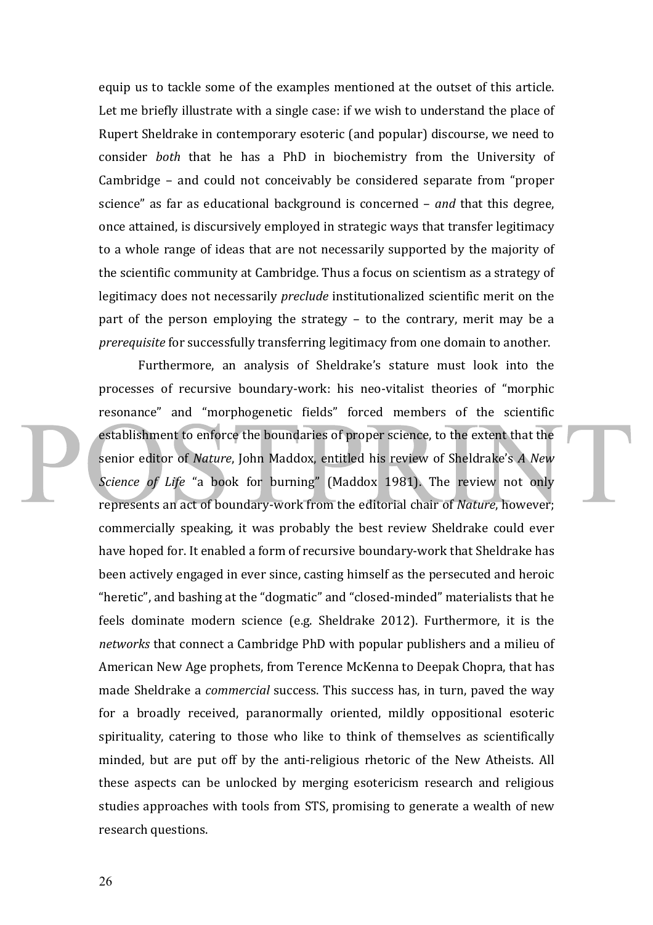equip us to tackle some of the examples mentioned at the outset of this article. Let me briefly illustrate with a single case: if we wish to understand the place of Rupert Sheldrake in contemporary esoteric (and popular) discourse, we need to consider *both* that he has a PhD in biochemistry from the University of Cambridge  $-$  and could not conceivably be considered separate from "proper science" as far as educational background is concerned – *and* that this degree, once attained, is discursively employed in strategic ways that transfer legitimacy to a whole range of ideas that are not necessarily supported by the majority of the scientific community at Cambridge. Thus a focus on scientism as a strategy of legitimacy does not necessarily *preclude* institutionalized scientific merit on the part of the person employing the strategy  $-$  to the contrary, merit may be a *prerequisite* for successfully transferring legitimacy from one domain to another.

Furthermore, an analysis of Sheldrake's stature must look into the processes of recursive boundary-work: his neo-vitalist theories of "morphic resonance" and "morphogenetic fields" forced members of the scientific establishment to enforce the boundaries of proper science, to the extent that the senior editor of *Nature*, John Maddox, entitled his review of Sheldrake's *A New Science of Life* "a book for burning" (Maddox 1981). The review not only represents an act of boundary-work from the editorial chair of *Nature*, however; commercially speaking, it was probably the best review Sheldrake could ever have hoped for. It enabled a form of recursive boundary-work that Sheldrake has been actively engaged in ever since, casting himself as the persecuted and heroic "heretic", and bashing at the "dogmatic" and "closed-minded" materialists that he feels dominate modern science (e.g. Sheldrake 2012). Furthermore, it is the *networks* that connect a Cambridge PhD with popular publishers and a milieu of American New Age prophets, from Terence McKenna to Deepak Chopra, that has made Sheldrake a *commercial* success. This success has, in turn, paved the way for a broadly received, paranormally oriented, mildly oppositional esoteric spirituality, catering to those who like to think of themselves as scientifically minded, but are put off by the anti-religious rhetoric of the New Atheists. All these aspects can be unlocked by merging esotericism research and religious studies approaches with tools from STS, promising to generate a wealth of new research questions.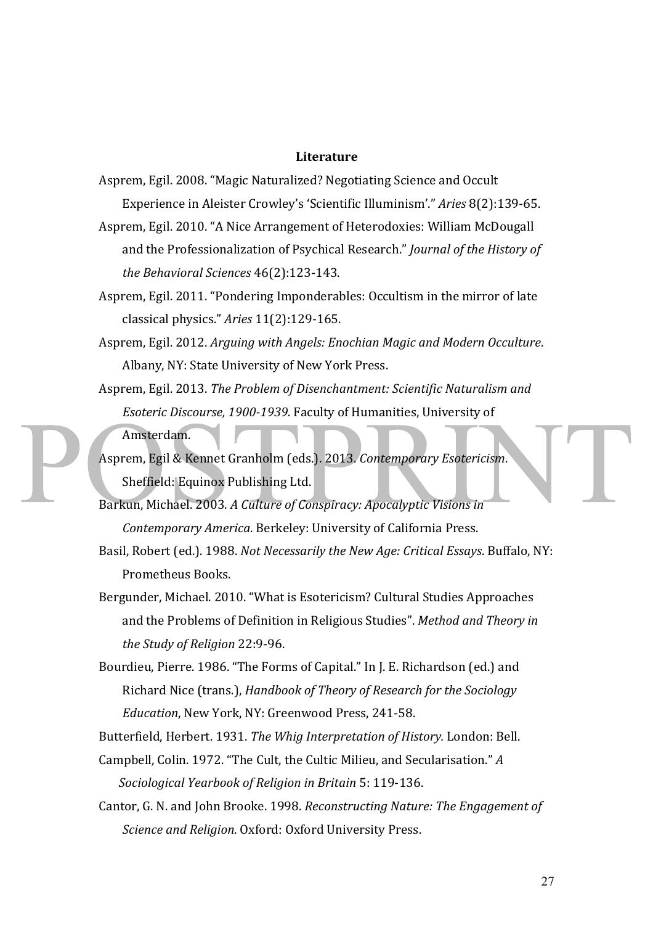#### **Literature**

- Asprem, Egil. 2008. "Magic Naturalized? Negotiating Science and Occult Experience in Aleister Crowley's 'Scientific Illuminism'." Aries 8(2):139-65.
- Asprem, Egil. 2010. "A Nice Arrangement of Heterodoxies: William McDougall and the Professionalization of Psychical Research." *Journal of the History of the Behavioral Sciences* 46(2):123-143.
- Asprem, Egil. 2011. "Pondering Imponderables: Occultism in the mirror of late classical physics." *Aries* 11(2):129-165.
- Asprem, Egil. 2012. *Arguing with Angels: Enochian Magic and Modern Occulture.* Albany, NY: State University of New York Press.
- Asprem, Egil. 2013. *The Problem of Disenchantment: Scientific Naturalism and Esoteric Discourse, 1900-1939.* Faculty of Humanities, University of Amsterdam.

Asprem, Egil & Kennet Granholm (eds.). 2013. Contemporary Esotericism. Sheffield: Equinox Publishing Ltd.

- Barkun, Michael. 2003. A Culture of Conspiracy: Apocalyptic Visions in *Contemporary America*. Berkeley: University of California Press.
- Basil, Robert (ed.). 1988. *Not Necessarily the New Age: Critical Essays*. Buffalo, NY: Prometheus Books.
- Bergunder, Michael. 2010. "What is Esotericism? Cultural Studies Approaches and the Problems of Definition in Religious Studies". Method and Theory in *the Study of Religion* 22:9-96.
- Bourdieu, Pierre. 1986. "The Forms of Capital." In J. E. Richardson (ed.) and Richard Nice (trans.), *Handbook of Theory of Research for the Sociology Education*, New York, NY: Greenwood Press, 241-58.

Butterfield, Herbert. 1931. *The Whig Interpretation of History.* London: Bell.

Campbell, Colin. 1972. "The Cult, the Cultic Milieu, and Secularisation." A *Sociological Yearbook of Religion in Britain* 5: 119-136.

Cantor, G. N. and John Brooke. 1998. *Reconstructing Nature: The Engagement of Science and Religion.* Oxford: Oxford University Press.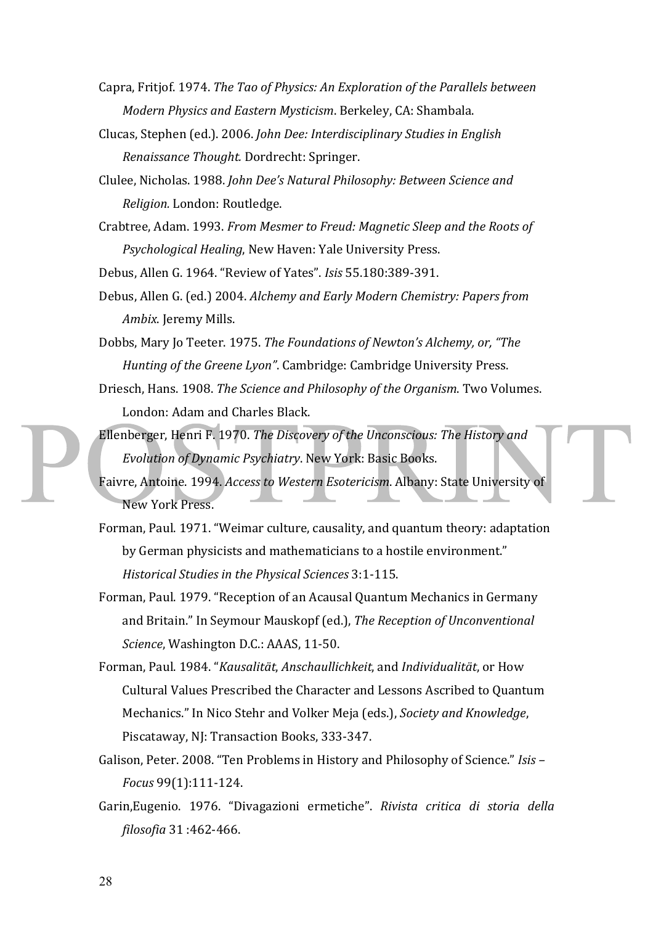- Capra, Fritjof. 1974. *The Tao of Physics: An Exploration of the Parallels between Modern Physics and Eastern Mysticism.* Berkeley, CA: Shambala.
- Clucas, Stephen (ed.). 2006. *John Dee: Interdisciplinary Studies in English Renaissance Thought.* Dordrecht: Springer.
- Clulee, Nicholas. 1988. *John Dee's Natural Philosophy: Between Science and Religion.* London: Routledge.
- Crabtree, Adam. 1993. *From Mesmer to Freud: Magnetic Sleep and the Roots of Psychological Healing*, New Haven: Yale University Press.

Debus, Allen G. 1964. "Review of Yates". *Isis* 55.180:389-391.

Debus, Allen G. (ed.) 2004. *Alchemy and Early Modern Chemistry: Papers from Ambix.* Jeremy Mills.

Dobbs, Mary Jo Teeter. 1975. *The Foundations of Newton's Alchemy, or, "The Hunting of the Greene Lyon"*. Cambridge: Cambridge University Press.

Driesch, Hans. 1908. *The Science and Philosophy of the Organism*. Two Volumes. London: Adam and Charles Black.

- Ellenberger, Henri F. 1970. *The Discovery of the Unconscious: The History and Evolution of Dynamic Psychiatry*. New York: Basic Books.
- Faivre, Antoine. 1994. *Access to Western Esotericism*. Albany: State University of New York Press.
- Forman, Paul. 1971. "Weimar culture, causality, and quantum theory: adaptation by German physicists and mathematicians to a hostile environment." *Historical Studies in the Physical Sciences* 3:1-115.
- Forman, Paul. 1979. "Reception of an Acausal Quantum Mechanics in Germany and Britain." In Seymour Mauskopf (ed.), *The Reception of Unconventional Science*, Washington D.C.: AAAS, 11-50.
- Forman, Paul. 1984. "*Kausalität*, *Anschaullichkeit*, and *Individualität*, or How Cultural Values Prescribed the Character and Lessons Ascribed to Quantum Mechanics." In Nico Stehr and Volker Meja (eds.), *Society and Knowledge*, Piscataway, NJ: Transaction Books, 333-347.
- Galison, Peter. 2008. "Ten Problems in History and Philosophy of Science." *Isis -Focus* 99(1):111-124.
- Garin, Eugenio. 1976. "Divagazioni ermetiche". Rivista critica di storia della *filosofia* 31 :462-466.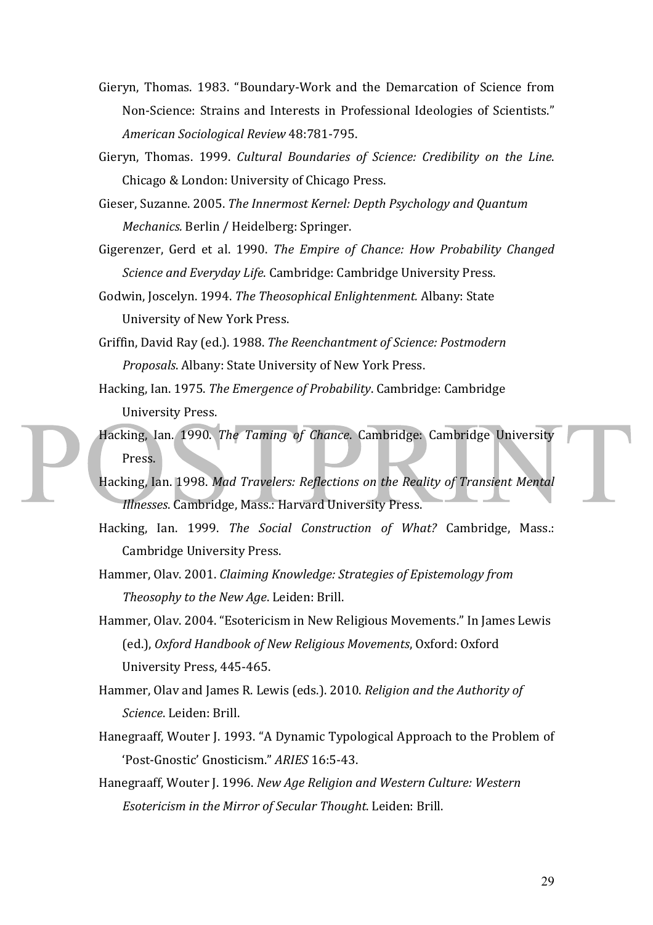- Gieryn, Thomas. 1983. "Boundary-Work and the Demarcation of Science from Non-Science: Strains and Interests in Professional Ideologies of Scientists." *American Sociological Review* 48:781-795.
- Gieryn, Thomas. 1999. *Cultural Boundaries of Science: Credibility on the Line.* Chicago & London: University of Chicago Press.
- Gieser, Suzanne. 2005. *The Innermost Kernel: Depth Psychology and Ouantum Mechanics.* Berlin / Heidelberg: Springer.
- Gigerenzer, Gerd et al. 1990. *The Empire of Chance: How Probability Changed Science and Everyday Life.* Cambridge: Cambridge University Press.
- Godwin, Joscelyn. 1994. *The Theosophical Enlightenment*. Albany: State University of New York Press.
- Griffin, David Ray (ed.). 1988. The Reenchantment of Science: Postmodern *Proposals.* Albany: State University of New York Press.
- Hacking, Ian. 1975. *The Emergence of Probability*. Cambridge: Cambridge University Press.
- Hacking, Ian. 1990. *The Taming of Chance*. Cambridge: Cambridge University Press.
- Hacking, Ian. 1998. Mad Travelers: Reflections on the Reality of Transient Mental *Illnesses*. Cambridge, Mass.: Harvard University Press.
- Hacking, Ian. 1999. *The Social Construction of What?* Cambridge, Mass.: Cambridge University Press.
- Hammer, Olav. 2001. *Claiming Knowledge: Strategies of Epistemology from Theosophy to the New Age.* Leiden: Brill.
- Hammer, Olav. 2004. "Esotericism in New Religious Movements." In James Lewis (ed.), Oxford Handbook of New Religious Movements, Oxford: Oxford University Press, 445-465.
- Hammer, Olav and James R. Lewis (eds.). 2010. *Religion and the Authority of Science*. Leiden: Brill.
- Hanegraaff, Wouter J. 1993. "A Dynamic Typological Approach to the Problem of 'Post-Gnostic' Gnosticism." *ARIES* 16:5-43.
- Hanegraaff, Wouter J. 1996. *New Age Religion and Western Culture: Western Esotericism in the Mirror of Secular Thought*. Leiden: Brill.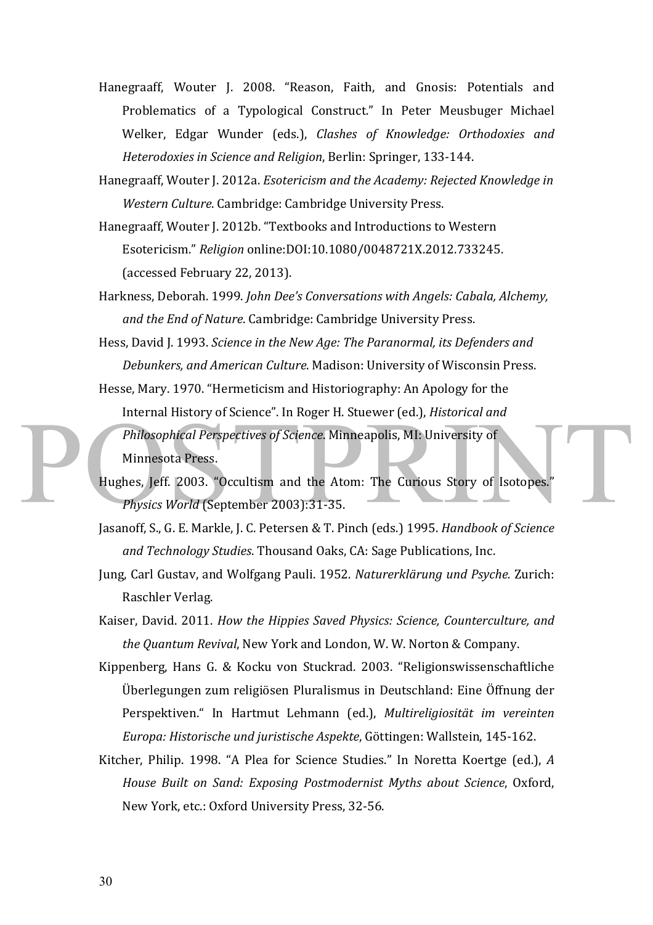- Hanegraaff, Wouter J. 2008. "Reason, Faith, and Gnosis: Potentials and Problematics of a Typological Construct." In Peter Meusbuger Michael Welker, Edgar Wunder (eds.), *Clashes of Knowledge: Orthodoxies and Heterodoxies in Science and Religion*, Berlin: Springer, 133-144.
- Hanegraaff, Wouter J. 2012a. *Esotericism and the Academy: Rejected Knowledge in Western Culture.* Cambridge: Cambridge University Press.
- Hanegraaff, Wouter J. 2012b. "Textbooks and Introductions to Western Esotericism." *Religion* online:DOI:10.1080/0048721X.2012.733245. (accessed February 22, 2013).
- Harkness, Deborah. 1999. *John Dee's Conversations with Angels: Cabala, Alchemy, and the End of Nature.* Cambridge: Cambridge University Press.
- Hess, David J. 1993. *Science in the New Age: The Paranormal, its Defenders and Debunkers, and American Culture.* Madison: University of Wisconsin Press.
- Hesse, Mary. 1970. "Hermeticism and Historiography: An Apology for the Internal History of Science". In Roger H. Stuewer (ed.), *Historical and Philosophical Perspectives of Science*. Minneapolis, MI: University of Minnesota Press.
- Hughes, Jeff. 2003. "Occultism and the Atom: The Curious Story of Isotopes." *Physics World* (September 2003):31-35.
- Jasanoff, S., G. E. Markle, J. C. Petersen & T. Pinch (eds.) 1995. *Handbook of Science* and Technology Studies. Thousand Oaks, CA: Sage Publications, Inc.
- Jung, Carl Gustav, and Wolfgang Pauli. 1952. Naturerklärung und Psyche. Zurich: Raschler Verlag.
- Kaiser, David. 2011. *How the Hippies Saved Physics: Science, Counterculture, and the Quantum Revival*, New York and London, W. W. Norton & Company.
- Kippenberg, Hans G. & Kocku von Stuckrad. 2003. "Religionswissenschaftliche Überlegungen zum religiösen Pluralismus in Deutschland: Eine Öffnung der Perspektiven." In Hartmut Lehmann (ed.), *Multireligiosität im vereinten Europa: Historische und juristische Aspekte*, Göttingen: Wallstein, 145-162.
- Kitcher, Philip. 1998. "A Plea for Science Studies." In Noretta Koertge (ed.), *A House Built on Sand: Exposing Postmodernist Myths about Science, Oxford,* New York, etc.: Oxford University Press, 32-56.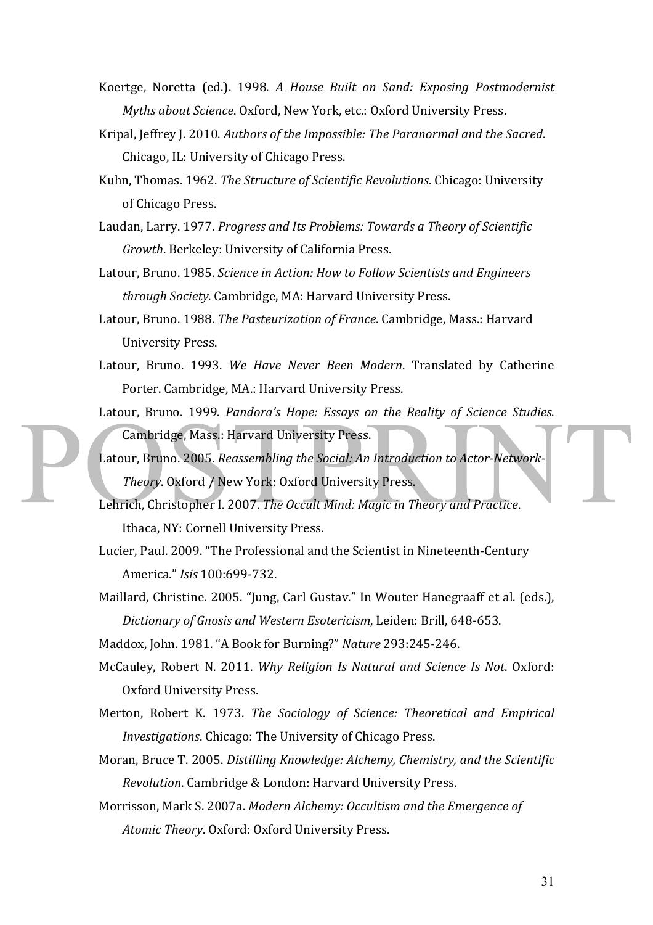- Koertge, Noretta (ed.). 1998. *A House Built on Sand: Exposing Postmodernist Myths about Science.* Oxford, New York, etc.: Oxford University Press.
- Kripal, Jeffrey J. 2010. Authors of the Impossible: The Paranormal and the Sacred. Chicago, IL: University of Chicago Press.
- Kuhn, Thomas. 1962. *The Structure of Scientific Revolutions*. Chicago: University of Chicago Press.
- Laudan, Larry. 1977. *Progress and Its Problems: Towards a Theory of Scientific Growth*. Berkeley: University of California Press.
- Latour, Bruno. 1985. *Science in Action: How to Follow Scientists and Engineers through Society*. Cambridge, MA: Harvard University Press.
- Latour, Bruno. 1988. *The Pasteurization of France*. Cambridge, Mass.: Harvard University Press.
- Latour, Bruno. 1993. We Have Never Been Modern. Translated by Catherine Porter. Cambridge, MA.: Harvard University Press.
- Latour, Bruno. 1999. *Pandora's Hope: Essays on the Reality of Science Studies*. Cambridge, Mass.: Harvard University Press.
- Latour, Bruno. 2005. Reassembling the Social: An Introduction to Actor-Network-**Theory.** Oxford / New York: Oxford University Press.
- Lehrich, Christopher I. 2007. *The Occult Mind: Magic in Theory and Practice*. Ithaca, NY: Cornell University Press.
- Lucier, Paul. 2009. "The Professional and the Scientist in Nineteenth-Century America." *Isis* 100:699-732.
- Maillard, Christine. 2005. "Jung, Carl Gustav." In Wouter Hanegraaff et al. (eds.), *Dictionary of Gnosis and Western Esotericism*, Leiden: Brill, 648-653.

Maddox, John. 1981. "A Book for Burning?" *Nature* 293:245-246.

- McCauley, Robert N. 2011. *Why Religion Is Natural and Science Is Not.* Oxford: Oxford University Press.
- Merton, Robert K. 1973. *The Sociology of Science: Theoretical and Empirical Investigations*. Chicago: The University of Chicago Press.
- Moran, Bruce T. 2005. *Distilling Knowledge: Alchemy, Chemistry, and the Scientific Revolution*. Cambridge & London: Harvard University Press.
- Morrisson, Mark S. 2007a. *Modern Alchemy: Occultism and the Emergence of* Atomic Theory. Oxford: Oxford University Press.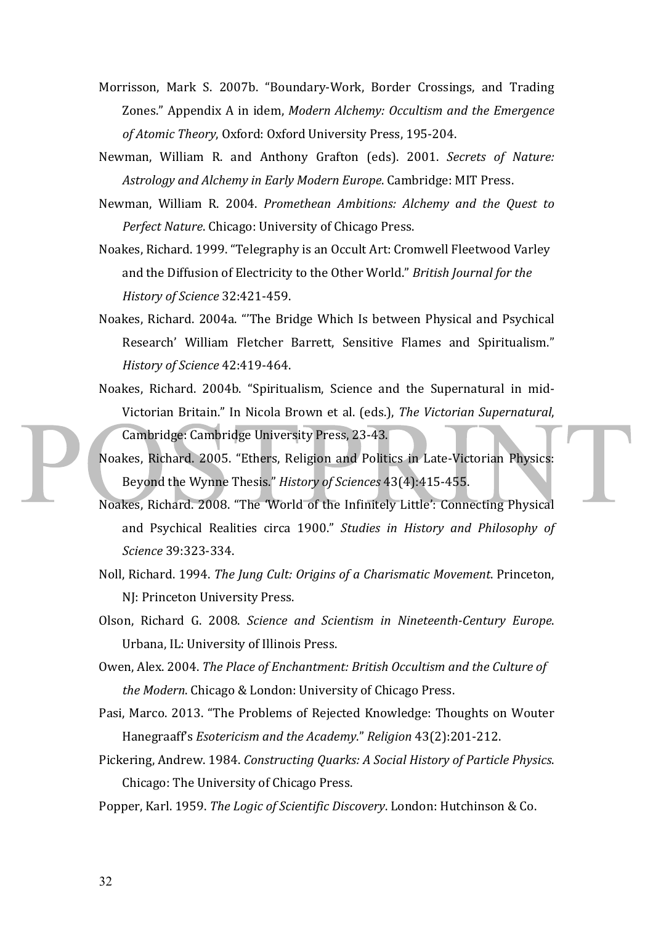- Morrisson, Mark S. 2007b. "Boundary-Work, Border Crossings, and Trading Zones." Appendix A in idem, *Modern Alchemy: Occultism and the Emergence* of Atomic Theory, Oxford: Oxford University Press, 195-204.
- Newman, William R. and Anthony Grafton (eds). 2001. *Secrets of Nature:* Astrology and Alchemy in Early Modern Europe. Cambridge: MIT Press.
- Newman, William R. 2004. *Promethean Ambitions: Alchemy and the Quest to Perfect Nature.* Chicago: University of Chicago Press.
- Noakes, Richard. 1999. "Telegraphy is an Occult Art: Cromwell Fleetwood Varley and the Diffusion of Electricity to the Other World." *British Journal for the History of Science* 32:421-459.
- Noakes, Richard. 2004a. "The Bridge Which Is between Physical and Psychical Research' William Fletcher Barrett, Sensitive Flames and Spiritualism." *History of Science* 42:419-464.
- Noakes, Richard. 2004b. "Spiritualism, Science and the Supernatural in mid-Victorian Britain." In Nicola Brown et al. (eds.), *The Victorian Supernatural*, Cambridge: Cambridge University Press, 23-43.
- Noakes, Richard. 2005. "Ethers, Religion and Politics in Late-Victorian Physics: Beyond the Wynne Thesis." *History of Sciences* 43(4):415-455.
- Noakes, Richard. 2008. "The 'World of the Infinitely Little': Connecting Physical and Psychical Realities circa 1900." *Studies* in History and Philosophy of *Science* 39:323-334.
- Noll, Richard. 1994. *The Jung Cult: Origins of a Charismatic Movement*. Princeton, NJ: Princeton University Press.
- Olson, Richard G. 2008. *Science and Scientism in Nineteenth-Century Europe*. Urbana, IL: University of Illinois Press.
- Owen, Alex. 2004. *The Place of Enchantment: British Occultism and the Culture of the Modern*. Chicago & London: University of Chicago Press.
- Pasi, Marco. 2013. "The Problems of Rejected Knowledge: Thoughts on Wouter Hanegraaff's *Esotericism and the Academy*." *Religion* 43(2):201-212.
- Pickering, Andrew. 1984. *Constructing Quarks: A Social History of Particle Physics.* Chicago: The University of Chicago Press.
- Popper, Karl. 1959. *The Logic of Scientific Discovery*. London: Hutchinson & Co.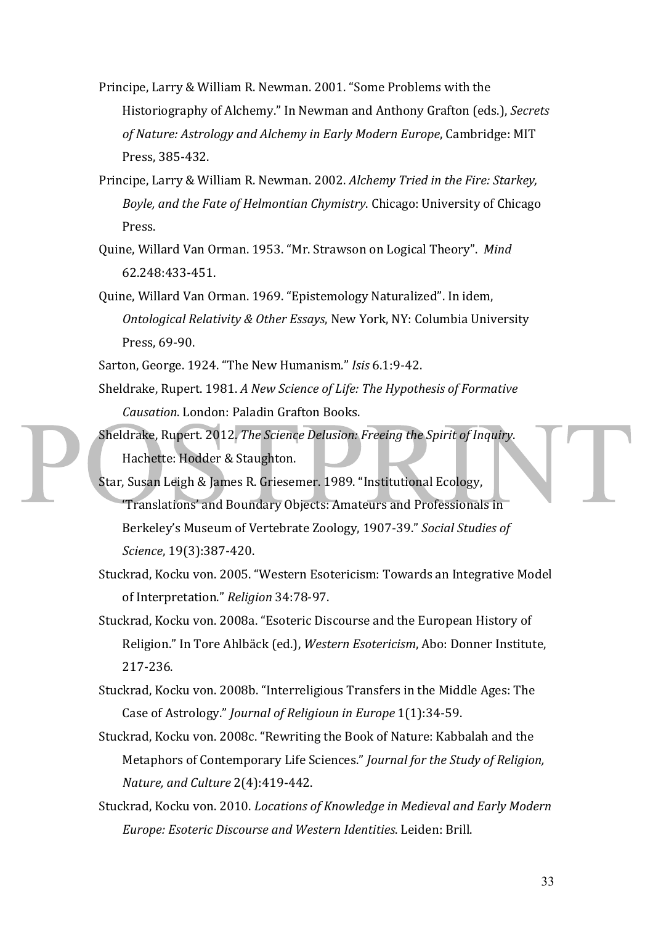- Principe, Larry & William R. Newman. 2001. "Some Problems with the Historiography of Alchemy." In Newman and Anthony Grafton (eds.), Secrets of Nature: Astrology and Alchemy in Early Modern Europe, Cambridge: MIT Press, 385-432.
- Principe, Larry & William R. Newman. 2002. *Alchemy Tried in the Fire: Starkey*, *Boyle, and the Fate of Helmontian Chymistry*. Chicago: University of Chicago Press.
- Quine, Willard Van Orman. 1953. "Mr. Strawson on Logical Theory". Mind 62.248:433-451.
- Quine, Willard Van Orman. 1969. "Epistemology Naturalized". In idem, *Ontological Relativity & Other Essays, New York, NY: Columbia University* Press, 69-90.
- Sarton, George. 1924. "The New Humanism." *Isis* 6.1:9-42.
- Sheldrake, Rupert. 1981. A New Science of Life: The Hypothesis of Formative *Causation*. London: Paladin Grafton Books.
- Sheldrake, Rupert. 2012. *The Science Delusion: Freeing the Spirit of Inquiry*. Hachette: Hodder & Staughton.
- Star, Susan Leigh & James R. Griesemer. 1989. "Institutional Ecology, 'Translations' and Boundary Objects: Amateurs and Professionals in Berkeley's Museum of Vertebrate Zoology, 1907-39." *Social Studies of Science*, 19(3):387-420.
- Stuckrad, Kocku von. 2005. "Western Esotericism: Towards an Integrative Model of Interpretation." Religion 34:78-97.
- Stuckrad, Kocku von. 2008a. "Esoteric Discourse and the European History of Religion." In Tore Ahlbäck (ed.), *Western Esotericism*, Abo: Donner Institute, 217-236.
- Stuckrad, Kocku von. 2008b. "Interreligious Transfers in the Middle Ages: The Case of Astrology." *Journal of Religioun in Europe* 1(1):34-59.
- Stuckrad, Kocku von. 2008c. "Rewriting the Book of Nature: Kabbalah and the Metaphors of Contemporary Life Sciences." *Journal for the Study of Religion*, *Nature, and Culture* 2(4):419-442.
- Stuckrad, Kocku von. 2010. *Locations of Knowledge in Medieval and Early Modern Europe: Esoteric Discourse and Western Identities*. Leiden: Brill.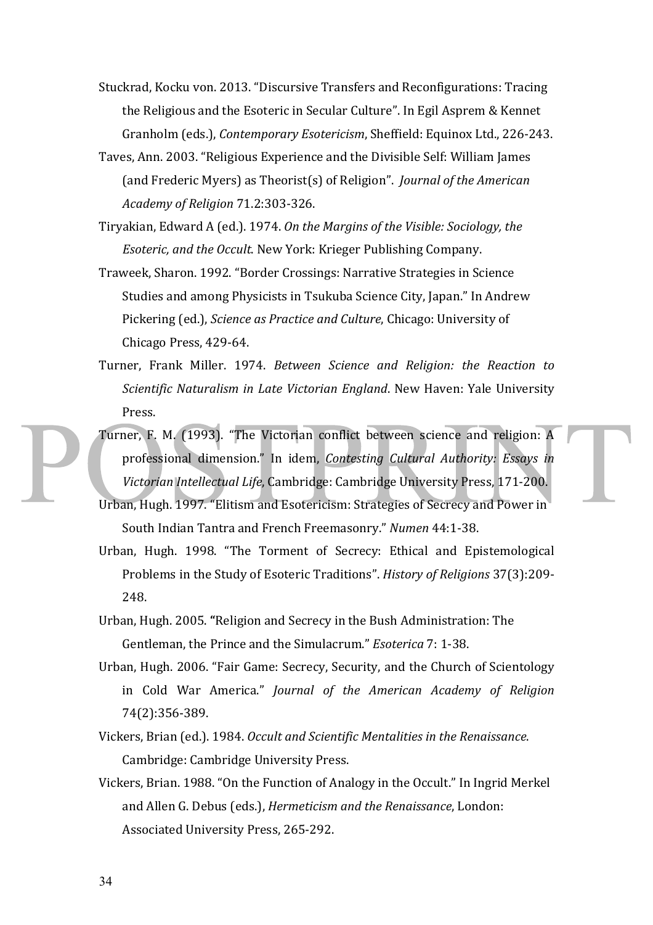- Stuckrad, Kocku von. 2013. "Discursive Transfers and Reconfigurations: Tracing the Religious and the Esoteric in Secular Culture". In Egil Asprem & Kennet Granholm (eds.), *Contemporary Esotericism*, Sheffield: Equinox Ltd., 226-243.
- Taves, Ann. 2003. "Religious Experience and the Divisible Self: William James (and Frederic Myers) as Theorist(s) of Religion". *Journal of the American Academy of Religion* 71.2:303-326.
- Tiryakian, Edward A (ed.). 1974. On the Margins of the Visible: Sociology, the *Esoteric, and the Occult.* New York: Krieger Publishing Company.
- Traweek, Sharon. 1992. "Border Crossings: Narrative Strategies in Science Studies and among Physicists in Tsukuba Science City, Japan." In Andrew Pickering (ed.), *Science as Practice and Culture*, Chicago: University of Chicago Press, 429-64.
- Turner, Frank Miller. 1974. *Between Science and Religion: the Reaction to Scientific Naturalism in Late Victorian England*. New Haven: Yale University Press.
- Turner, F. M. (1993). "The Victorian conflict between science and religion: A professional dimension." In idem, *Contesting Cultural Authority: Essays in* Victorian Intellectual Life, Cambridge: Cambridge University Press, 171-200.
- Urban, Hugh. 1997. "Elitism and Esotericism: Strategies of Secrecy and Power in South Indian Tantra and French Freemasonry." Numen 44:1-38.
- Urban, Hugh. 1998. "The Torment of Secrecy: Ethical and Epistemological Problems in the Study of Esoteric Traditions". *History of Religions* 37(3):209-248.
- Urban, Hugh. 2005. "Religion and Secrecy in the Bush Administration: The Gentleman, the Prince and the Simulacrum." *Esoterica* 7: 1-38.
- Urban, Hugh. 2006. "Fair Game: Secrecy, Security, and the Church of Scientology in Cold War America." *Journal of the American Academy of Religion* 74(2):356-389.
- Vickers, Brian (ed.). 1984. Occult and Scientific Mentalities in the Renaissance. Cambridge: Cambridge University Press.
- Vickers, Brian. 1988. "On the Function of Analogy in the Occult." In Ingrid Merkel and Allen G. Debus (eds.), *Hermeticism and the Renaissance*, London: Associated University Press, 265-292.